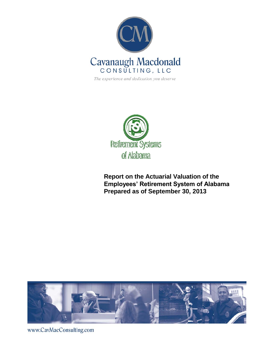

The experience and dedication you deserve



**Report on the Actuarial Valuation of the Employees' Retirement System of Alabama Prepared as of September 30, 2013**



www.CavMacConsulting.com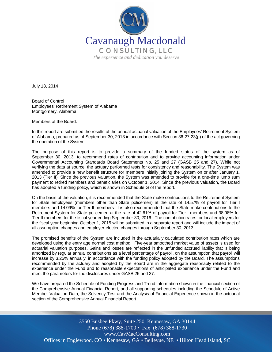

July 18, 2014

Board of Control Employees' Retirement System of Alabama Montgomery, Alabama

Members of the Board:

In this report are submitted the results of the annual actuarial valuation of the Employees' Retirement System of Alabama, prepared as of September 30, 2013 in accordance with Section 36-27-23(p) of the act governing the operation of the System.

The purpose of this report is to provide a summary of the funded status of the system as of September 30, 2013, to recommend rates of contribution and to provide accounting information under Governmental Accounting Standards Board Statements No. 25 and 27 (GASB 25 and 27). While not verifying the data at source, the actuary performed tests for consistency and reasonability. The System was amended to provide a new benefit structure for members initially joining the System on or after January 1, 2013 (Tier II). Since the previous valuation, the System was amended to provide for a one-time lump sum payment to retired members and beneficiaries on October 1, 2014. Since the previous valuation, the Board has adopted a funding policy, which is shown in Schedule G of the report.

On the basis of the valuation, it is recommended that the State make contributions to the Retirement System for State employees (members other than State policemen) at the rate of 14.57% of payroll for Tier I members and 14.09% for Tier II members. It is also recommended that the State make contributions to the Retirement System for State policemen at the rate of 42.61% of payroll for Tier I members and 38.98% for Tier II members for the fiscal year ending September 30, 2016. The contribution rates for local employers for the fiscal year beginning October 1, 2015 will be submitted in a separate report and will include the impact of all assumption changes and employer-elected changes through September 30, 2013.

The promised benefits of the System are included in the actuarially calculated contribution rates which are developed using the entry age normal cost method. Five-year smoothed market value of assets is used for actuarial valuation purposes. Gains and losses are reflected in the unfunded accrued liability that is being amortized by regular annual contributions as a level percentage of payroll, on the assumption that payroll will increase by 3.25% annually, in accordance with the funding policy adopted by the Board. The assumptions recommended by the actuary and adopted by the Board are in the aggregate reasonably related to the experience under the Fund and to reasonable expectations of anticipated experience under the Fund and meet the parameters for the disclosures under GASB 25 and 27.

We have prepared the Schedule of Funding Progress and Trend Information shown in the financial section of the Comprehensive Annual Financial Report, and all supporting schedules including the Schedule of Active Member Valuation Data, the Solvency Test and the Analysis of Financial Experience shown in the actuarial section of the Comprehensive Annual Financial Report.

Offices in Englewood, CO • Kennesaw, GA • Bellevue, NE • Hilton Head Island, SC 3550 Busbee Pkwy, Suite 250, Kennesaw, GA 30144 Phone (678) 388-1700 • Fax (678) 388-1730 www.CavMacConsulting.com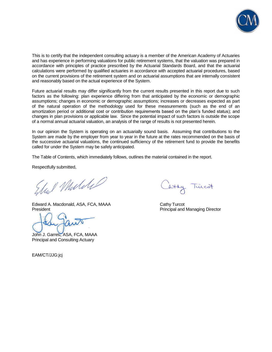

This is to certify that the independent consulting actuary is a member of the American Academy of Actuaries and has experience in performing valuations for public retirement systems, that the valuation was prepared in accordance with principles of practice prescribed by the Actuarial Standards Board, and that the actuarial calculations were performed by qualified actuaries in accordance with accepted actuarial procedures, based on the current provisions of the retirement system and on actuarial assumptions that are internally consistent and reasonably based on the actual experience of the System.

Future actuarial results may differ significantly from the current results presented in this report due to such factors as the following: plan experience differing from that anticipated by the economic or demographic assumptions; changes in economic or demographic assumptions; increases or decreases expected as part of the natural operation of the methodology used for these measurements (such as the end of an amortization period or additional cost or contribution requirements based on the plan's funded status); and changes in plan provisions or applicable law. Since the potential impact of such factors is outside the scope of a normal annual actuarial valuation, an analysis of the range of results is not presented herein.

In our opinion the System is operating on an actuarially sound basis. Assuming that contributions to the System are made by the employer from year to year in the future at the rates recommended on the basis of the successive actuarial valuations, the continued sufficiency of the retirement fund to provide the benefits called for under the System may be safely anticipated.

The Table of Contents, which immediately follows, outlines the material contained in the report.

Respectfully submitted,

Stul Mulike

Edward A. Macdonald, ASA, FCA, MAAA Cathy Turcot President **President** President **Principal and Managing Director** 

John J. Garrett, ASA, FCA, MAAA Principal and Consulting Actuary

EAM/CT/JJG:jcj

atty Turcot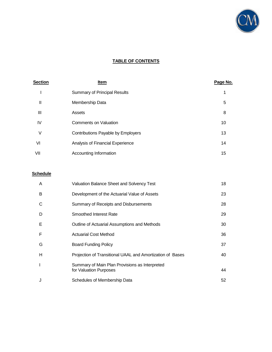

# **TABLE OF CONTENTS**

| <b>Section</b> | <u>Item</u>                         | Page No. |
|----------------|-------------------------------------|----------|
|                | <b>Summary of Principal Results</b> |          |
| Ш              | Membership Data                     | 5        |
| Ш              | Assets                              | 8        |
| IV             | <b>Comments on Valuation</b>        | 10       |
| ٧              | Contributions Payable by Employers  | 13       |
| VI             | Analysis of Financial Experience    | 14       |
| VII            | Accounting Information              | 15       |

# **Schedule**

| A | <b>Valuation Balance Sheet and Solvency Test</b>                         | 18 |
|---|--------------------------------------------------------------------------|----|
| B | Development of the Actuarial Value of Assets                             | 23 |
| C | Summary of Receipts and Disbursements                                    | 28 |
| D | Smoothed Interest Rate                                                   | 29 |
| Е | Outline of Actuarial Assumptions and Methods                             | 30 |
| F | <b>Actuarial Cost Method</b>                                             | 36 |
| G | <b>Board Funding Policy</b>                                              | 37 |
| н | Projection of Transitional UAAL and Amortization of Bases                | 40 |
|   | Summary of Main Plan Provisions as Interpreted<br>for Valuation Purposes | 44 |
| J | Schedules of Membership Data                                             | 52 |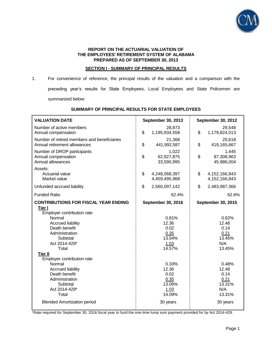

#### **REPORT ON THE ACTUARIAL VALUATION OF THE EMPLOYEES' RETIREMENT SYSTEM OF ALABAMA PREPARED AS OF SEPTEMBER 30, 2013**

# **SECTION I - SUMMARY OF PRINCIPAL RESULTS**

1. For convenience of reference, the principal results of the valuation and a comparison with the preceding year's results for State Employees, Local Employees and State Policemen are summarized below:

| <b>VALUATION DATE</b>                                                               | September 30, 2013                      | September 30, 2012                      |  |
|-------------------------------------------------------------------------------------|-----------------------------------------|-----------------------------------------|--|
| Number of active members<br>Annual compensation                                     | 28,873<br>\$<br>1,195,934,558           | 29,548<br>\$<br>1,179,824,013           |  |
| Number of retired members and beneficiaries<br>Annual retirement allowances         | 21,368<br>\$<br>441,992,587             | 20,618<br>\$<br>419,165,667             |  |
| Number of DROP participants<br>Annual compensation<br>Annual allowances             | 1,022<br>\$<br>62,927,875<br>33,590,995 | 1,445<br>\$<br>87,308,963<br>45,986,004 |  |
| Assets:<br>Actuarial value<br>Market value                                          | \$<br>4,248,068,397<br>4,459,495,968    | \$<br>4, 152, 166, 843<br>4,152,166,843 |  |
| Unfunded accrued liability                                                          | \$<br>2,560,097,142                     | \$<br>2,483,987,366                     |  |
| <b>Funded Ratio</b>                                                                 | 62.4%                                   | 62.6%                                   |  |
| <b>CONTRIBUTIONS FOR FISCAL YEAR ENDING</b><br>Tier I<br>Employer contribution rate | September 30, 2016                      | <b>September 30, 2015</b>               |  |
| Normal                                                                              | 0.81%<br>12.36                          | 0.62%<br>12.48                          |  |
| <b>Accrued liability</b><br>Death benefit                                           | 0.02                                    | 0.14                                    |  |
| Administration                                                                      | 0.35                                    | 0.21                                    |  |
| Subtotal                                                                            | 13.54%                                  | 13.45%                                  |  |
| Act 2014-429*                                                                       | 1.03                                    | N/A                                     |  |
| Total                                                                               | 14.57%                                  | 13.45%                                  |  |
| <b>Tier II</b>                                                                      |                                         |                                         |  |
| Employer contribution rate<br>Normal                                                | 0.33%                                   | 0.48%                                   |  |
| <b>Accrued liability</b>                                                            | 12.36                                   | 12.48                                   |  |
| Death benefit                                                                       | 0.02                                    | 0.14                                    |  |
| Administration                                                                      | 0.35                                    | 0.21                                    |  |
| Subtotal                                                                            | 13.06%                                  | 13.31%                                  |  |
| Act 2014-429*                                                                       | 1.03                                    | N/A                                     |  |
| Total                                                                               | 14.09%                                  | 13.31%                                  |  |
| <b>Blended Amortization period</b>                                                  | 30 years                                | 30 years                                |  |

#### **SUMMARY OF PRINCIPAL RESULTS FOR STATE EMPLOYEES**

\*Rate required for September 30, 2016 fiscal year to fund the one-time lump sum payment provided for by Act 2014-429.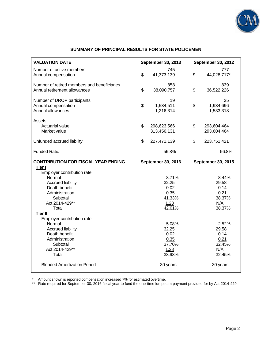

# **SUMMARY OF PRINCIPAL RESULTS FOR STATE POLICEMEN**

| <b>VALUATION DATE</b>                                                                                                                                                                                                                                                                                                                                     | <b>September 30, 2013</b>                                                                                                                   | September 30, 2012                                                                                                                        |
|-----------------------------------------------------------------------------------------------------------------------------------------------------------------------------------------------------------------------------------------------------------------------------------------------------------------------------------------------------------|---------------------------------------------------------------------------------------------------------------------------------------------|-------------------------------------------------------------------------------------------------------------------------------------------|
| Number of active members<br>Annual compensation                                                                                                                                                                                                                                                                                                           | 745<br>\$<br>41,373,139                                                                                                                     | 777<br>\$<br>44,028,717*                                                                                                                  |
| Number of retired members and beneficiaries<br>Annual retirement allowances                                                                                                                                                                                                                                                                               | 858<br>\$<br>38,090,757                                                                                                                     | 839<br>\$<br>36,522,226                                                                                                                   |
| Number of DROP participants<br>Annual compensation<br>Annual allowances                                                                                                                                                                                                                                                                                   | 19<br>\$<br>1,534,511<br>1,216,314                                                                                                          | 25<br>\$<br>1,934,696<br>1,533,318                                                                                                        |
| Assets:<br>Actuarial value<br>Market value                                                                                                                                                                                                                                                                                                                | \$<br>298,623,566<br>313,456,131                                                                                                            | \$<br>293,604,464<br>293,604,464                                                                                                          |
| Unfunded accrued liability                                                                                                                                                                                                                                                                                                                                | \$<br>227,471,139                                                                                                                           | \$<br>223,751,421                                                                                                                         |
| <b>Funded Ratio</b>                                                                                                                                                                                                                                                                                                                                       | 56.8%                                                                                                                                       | 56.8%                                                                                                                                     |
| <b>CONTRIBUTION FOR FISCAL YEAR ENDING</b><br>Tier I<br>Employer contribution rate<br>Normal<br><b>Accrued liability</b><br>Death benefit<br>Administration<br>Subtotal<br>Act 2014-429**<br>Total<br><b>Tier II</b><br>Employer contribution rate<br>Normal<br><b>Accrued liability</b><br>Death benefit<br>Administration<br>Subtotal<br>Act 2014-429** | <b>September 30, 2016</b><br>8.71%<br>32.25<br>0.02<br>0.35<br>41.33%<br>1.28<br>42.61%<br>5.08%<br>32.25<br>0.02<br>0.35<br>37.70%<br>1.28 | <b>September 30, 2015</b><br>8.44%<br>29.58<br>0.14<br>0.21<br>38.37%<br>N/A<br>38.37%<br>2.52%<br>29.58<br>0.14<br>0.21<br>32.45%<br>N/A |
| Total<br><b>Blended Amortization Period</b>                                                                                                                                                                                                                                                                                                               | 38.98%<br>30 years                                                                                                                          | 32.45%<br>30 years                                                                                                                        |

\* Amount shown is reported compensation increased 7% for estimated overtime.

\*\* Rate required for September 30, 2016 fiscal year to fund the one-time lump sum payment provided for by Act 2014-429.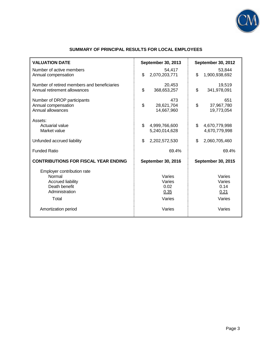

# **SUMMARY OF PRINCIPAL RESULTS FOR LOCAL EMPLOYEES**

| <b>VALUATION DATE</b>                                                                                                               | <b>September 30, 2013</b>                            | <b>September 30, 2012</b>                            |
|-------------------------------------------------------------------------------------------------------------------------------------|------------------------------------------------------|------------------------------------------------------|
| Number of active members<br>Annual compensation                                                                                     | 54,417<br>\$<br>2,070,203,771                        | 53,844<br>\$<br>1,900,938,692                        |
| Number of retired members and beneficiaries<br>Annual retirement allowances                                                         | 20,453<br>\$<br>368,653,257                          | 19,519<br>\$<br>341,978,091                          |
| Number of DROP participants<br>Annual compensation<br>Annual allowances                                                             | 473<br>\$<br>28,621,704<br>14,667,960                | 651<br>\$<br>37,967,780<br>19,773,054                |
| Assets:<br>Actuarial value<br>Market value                                                                                          | \$<br>4,999,766,600<br>5,240,014,628                 | \$<br>4,670,779,998<br>4,670,779,998                 |
| Unfunded accrued liability                                                                                                          | \$<br>2,202,572,530                                  | \$<br>2,060,705,460                                  |
| <b>Funded Ratio</b>                                                                                                                 | 69.4%                                                | 69.4%                                                |
| <b>CONTRIBUTIONS FOR FISCAL YEAR ENDING</b>                                                                                         | <b>September 30, 2016</b>                            | September 30, 2015                                   |
| Employer contribution rate<br>Normal<br><b>Accrued liability</b><br>Death benefit<br>Administration<br>Total<br>Amortization period | Varies<br>Varies<br>0.02<br>0.35<br>Varies<br>Varies | Varies<br>Varies<br>0.14<br>0.21<br>Varies<br>Varies |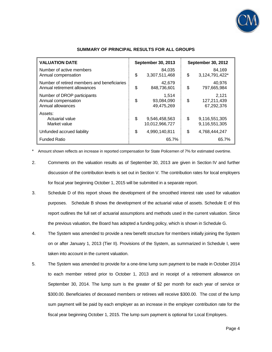

| <b>VALUATION DATE</b>                                                       |    | September 30, 2013                |    | <b>September 30, 2012</b>          |  |
|-----------------------------------------------------------------------------|----|-----------------------------------|----|------------------------------------|--|
| Number of active members<br>Annual compensation                             | \$ | 84,035<br>3,307,511,468           | \$ | 84,169<br>3,124,791,422*           |  |
| Number of retired members and beneficiaries<br>Annual retirement allowances | \$ | 42,679<br>848,736,601             | \$ | 40.976<br>797,665,984              |  |
| Number of DROP participants<br>Annual compensation<br>Annual allowances     | \$ | 1.514<br>93,084,090<br>49,475,269 | \$ | 2,121<br>127,211,439<br>67,292,376 |  |
| Assets:<br>Actuarial value<br>Market value                                  | \$ | 9,546,458,563<br>10,012,966,727   | \$ | 9,116,551,305<br>9,116,551,305     |  |
| Unfunded accrued liability                                                  | \$ | 4.990.140.811                     | \$ | 4.768.444.247                      |  |
| <b>Funded Ratio</b>                                                         |    | 65.7%                             |    | 65.7%                              |  |

#### **SUMMARY OF PRINCIPAL RESULTS FOR ALL GROUPS**

\* Amount shown reflects an increase in reported compensation for State Policemen of 7% for estimated overtime.

- 2. Comments on the valuation results as of September 30, 2013 are given in Section IV and further discussion of the contribution levels is set out in Section V. The contribution rates for local employers for fiscal year beginning October 1, 2015 will be submitted in a separate report.
- 3. Schedule D of this report shows the development of the smoothed interest rate used for valuation purposes. Schedule B shows the development of the actuarial value of assets. Schedule E of this report outlines the full set of actuarial assumptions and methods used in the current valuation. Since the previous valuation, the Board has adopted a funding policy, which is shown in Schedule G.
- 4. The System was amended to provide a new benefit structure for members initially joining the System on or after January 1, 2013 (Tier II). Provisions of the System, as summarized in Schedule I, were taken into account in the current valuation.
- 5. The System was amended to provide for a one-time lump sum payment to be made in October 2014 to each member retired prior to October 1, 2013 and in receipt of a retirement allowance on September 30, 2014. The lump sum is the greater of \$2 per month for each year of service or \$300.00. Beneficiaries of deceased members or retirees will receive \$300.00. The cost of the lump sum payment will be paid by each employer as an increase in the employer contribution rate for the fiscal year beginning October 1, 2015. The lump sum payment is optional for Local Employers.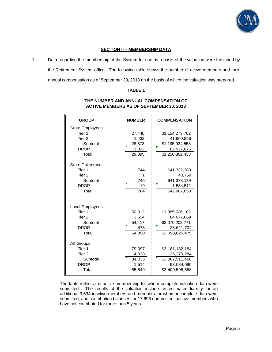

# **SECTION II – MEMBERSHIP DATA**

1. Data regarding the membership of the System for use as a basis of the valuation were furnished by the Retirement System office. The following table shows the number of active members and their annual compensation as of September 30, 2013 on the basis of which the valuation was prepared.

# **TABLE 1**

| <b>GROUP</b>                                                                                         | <b>NUMBER</b>                                | <b>COMPENSATION</b>                                                                |
|------------------------------------------------------------------------------------------------------|----------------------------------------------|------------------------------------------------------------------------------------|
| <b>State Employees</b><br>Tier <sub>1</sub><br>Tier <sub>2</sub><br>Subtotal<br><b>DROP</b><br>Total | 27,440<br>1,433<br>28,873<br>1,022<br>29,895 | \$1,154,273,702<br>41,660,856<br>\$1,195,934,558<br>62,927,875<br>\$1,258,862,433  |
| <b>State Policemen</b><br>Tier 1<br>Tier 2<br>Subtotal<br><b>DROP</b><br>Total                       | 744<br>1<br>745<br>19<br>764                 | \$41,332,380<br>40,759<br>\$41,373,139<br>1,534,511<br>\$42,907,650                |
| Local Employees<br>Tier 1<br>Tier 2<br>Subtotal<br><b>DROP</b><br>Total                              | 50,913<br>3,504<br>54,417<br>473<br>54,890   | \$1,985,526,102<br>84,677,669<br>\$2,070,203,771<br>28,621,704<br>\$2,098,825,475  |
| All Groups<br>Tier <sub>1</sub><br>Tier <sub>2</sub><br>Subtotal<br><b>DROP</b><br>Total             | 79,097<br>4,938<br>84,035<br>1,514<br>85,549 | \$3,181,132,184<br>126,379,284<br>\$3,307,511,468<br>93,084,090<br>\$3,400,595,558 |

# **THE NUMBER AND ANNUAL COMPENSATION OF ACTIVE MEMBERS AS OF SEPTEMBER 30, 2013**

The table reflects the active membership for whom complete valuation data were submitted. The results of the valuation include an estimated liability for an additional 9,534 inactive members and members for whom incomplete data were submitted, and contribution balances for 17,696 non-vested inactive members who have not contributed for more than 5 years.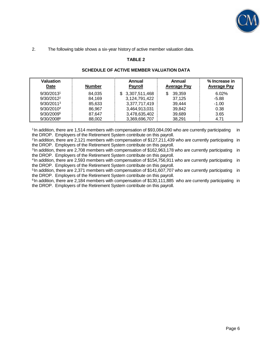

2. The following table shows a six-year history of active member valuation data.

# **TABLE 2**

| <b>Valuation</b><br><b>Date</b> | <b>Number</b> | Annual<br><b>Payroll</b> | Annual<br><b>Average Pay</b> | % Increase in<br><b>Average Pay</b> |
|---------------------------------|---------------|--------------------------|------------------------------|-------------------------------------|
| 9/30/20131                      | 84.035        | \$3,307,511,468          | 39.359<br>\$.                | 6.02%                               |
| $9/30/2012^2$                   | 84.169        | 3,124,791,422            | 37,125                       | $-5.88$                             |
| 9/30/2011 <sup>3</sup>          | 85,633        | 3,377,717,419            | 39,444                       | $-1.00$                             |
| 9/30/2010 <sup>4</sup>          | 86.967        | 3,464,913,031            | 39,842                       | 0.38                                |
| 9/30/20095                      | 87,647        | 3,478,635,402            | 39,689                       | 3.65                                |
| 9/30/20086                      | 88,002        | 3,369,696,707            | 38,291                       | 4.71                                |

# **SCHEDULE OF ACTIVE MEMBER VALUATION DATA**

<sup>1</sup> In addition, there are 1,514 members with compensation of \$93,084,090 who are currently participating in the DROP. Employers of the Retirement System contribute on this payroll.

<sup>2</sup>In addition, there are 2,121 members with compensation of \$127,211,439 who are currently participating in the DROP. Employers of the Retirement System contribute on this payroll.

<sup>3</sup>In addition, there are 2,708 members with compensation of \$162,963,178 who are currently participating in the DROP. Employers of the Retirement System contribute on this payroll.

<sup>4</sup>In addition, there are 2,593 members with compensation of \$154,756,911 who are currently participating in the DROP. Employers of the Retirement System contribute on this payroll.

<sup>5</sup>In addition, there are 2,371 members with compensation of \$141,607,707 who are currently participating in the DROP. Employers of the Retirement System contribute on this payroll.

 $6$ In addition, there are 2,184 members with compensation of \$130,111,885 who are currently participating in the DROP. Employers of the Retirement System contribute on this payroll.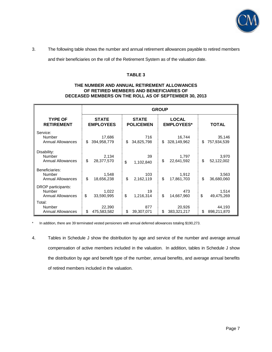

3. The following table shows the number and annual retirement allowances payable to retired members

and their beneficiaries on the roll of the Retirement System as of the valuation date.

#### **TABLE 3**

#### **THE NUMBER AND ANNUAL RETIREMENT ALLOWANCES OF RETIRED MEMBERS AND BENEFICIARIES OF DECEASED MEMBERS ON THE ROLL AS OF SEPTEMBER 30, 2013**

|                          | <b>GROUP</b>     |                  |                   |              |  |
|--------------------------|------------------|------------------|-------------------|--------------|--|
| <b>TYPE OF</b>           | <b>STATE</b>     | <b>STATE</b>     | <b>LOCAL</b>      | <b>TOTAL</b> |  |
| <b>RETIREMENT</b>        | <b>EMPLOYEES</b> | <b>POLICEMEN</b> | <b>EMPLOYEES*</b> |              |  |
| Service:                 | 17,686           | 716              | 16,744            | 35,146       |  |
| Number                   | \$               | \$               | \$                | \$           |  |
| <b>Annual Allowances</b> | 394,958,779      | 34,825,798       | 328,149,962       | 757,934,539  |  |
| Disability:              | 2,134            | 39               | 1,797             | 3,970        |  |
| Number                   | \$               | \$               | \$                | \$           |  |
| <b>Annual Allowances</b> | 28,377,570       | 1,102,840        | 22,641,592        | 52,122,002   |  |
| Beneficiaries:           | 1,548            | 103              | 1,912             | 3,563        |  |
| Number                   | \$               | \$               | \$                | \$           |  |
| <b>Annual Allowances</b> | 18,656,238       | 2,162,119        | 17,861,703        | 36,680,060   |  |
| DROP participants:       | 1,022            | 19               | 473               | 1,514        |  |
| Number                   | \$               | \$               | \$                | \$           |  |
| <b>Annual Allowances</b> | 33,590,995       | 1,216,314        | 14,667,960        | 49,475,269   |  |
| Total:                   | 22,390           | 877              | 20,926            | 44,193       |  |
| Number                   | \$               | \$               | \$                | \$           |  |
| <b>Annual Allowances</b> | 475,583,582      | 39,307,071       | 383,321,217       | 898,211,870  |  |

\* In addition, there are 39 terminated vested pensioners with annual deferred allowances totaling \$190,273.

4. Tables in Schedule J show the distribution by age and service of the number and average annual compensation of active members included in the valuation. In addition, tables in Schedule J show the distribution by age and benefit type of the number, annual benefits, and average annual benefits of retired members included in the valuation.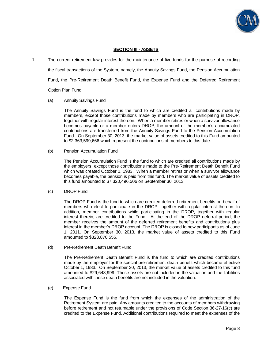

#### **SECTION III - ASSETS**

1. The current retirement law provides for the maintenance of five funds for the purpose of recording the fiscal transactions of the System, namely, the Annuity Savings Fund, the Pension Accumulation Fund, the Pre-Retirement Death Benefit Fund, the Expense Fund and the Deferred Retirement Option Plan Fund.

#### (a) Annuity Savings Fund

 The Annuity Savings Fund is the fund to which are credited all contributions made by members, except those contributions made by members who are participating in DROP, together with regular interest thereon. When a member retires or when a survivor allowance becomes payable or a member enters DROP, the amount of the member's accumulated contributions are transferred from the Annuity Savings Fund to the Pension Accumulation Fund. On September 30, 2013, the market value of assets credited to this Fund amounted to \$2,363,599,666 which represent the contributions of members to this date.

(b) Pension Accumulation Fund

 The Pension Accumulation Fund is the fund to which are credited all contributions made by the employers, except those contributions made to the Pre-Retirement Death Benefit Fund which was created October 1, 1983. When a member retires or when a survivor allowance becomes payable, the pension is paid from this fund. The market value of assets credited to this fund amounted to \$7,320,496,506 on September 30, 2013.

#### (c) DROP Fund

 The DROP Fund is the fund to which are credited deferred retirement benefits on behalf of members who elect to participate in the DROP, together with regular interest thereon. In addition, member contributions while participating in the DROP, together with regular interest therein, are credited to the Fund. At the end of the DROP deferral period, the member receives the amount of the deferred retirement benefits and contributions plus interest in the member's DROP account. The DROP is closed to new participants as of June 1, 2011. On September 30, 2013, the market value of assets credited to this Fund amounted to \$328,870,555.

(d) Pre-Retirement Death Benefit Fund

 The Pre-Retirement Death Benefit Fund is the fund to which are credited contributions made by the employer for the special pre-retirement death benefit which became effective October 1, 1983. On September 30, 2013, the market value of assets credited to this fund amounted to \$29,648,999. These assets are not included in the valuation and the liabilities associated with these death benefits are not included in the valuation.

(e) Expense Fund

 The Expense Fund is the fund from which the expenses of the administration of the Retirement System are paid. Any amounts credited to the accounts of members withdrawing before retirement and not returnable under the provisions of Code Section 36-27-16(c) are credited to the Expense Fund. Additional contributions required to meet the expenses of the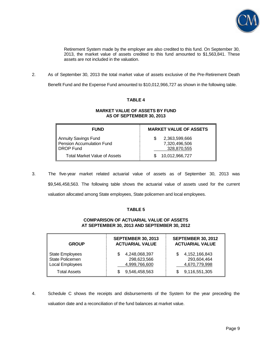

Retirement System made by the employer are also credited to this fund. On September 30, 2013, the market value of assets credited to this fund amounted to \$1,563,841. These assets are not included in the valuation.

2. As of September 30, 2013 the total market value of assets exclusive of the Pre-Retirement Death

Benefit Fund and the Expense Fund amounted to \$10,012,966,727 as shown in the following table.

# **TABLE 4**

#### **MARKET VALUE OF ASSETS BY FUND AS OF SEPTEMBER 30, 2013**

| <b>FUND</b>                                                    | <b>MARKET VALUE OF ASSETS</b>                 |
|----------------------------------------------------------------|-----------------------------------------------|
| Annuity Savings Fund<br>Pension Accumulation Fund<br>DROP Fund | 2,363,599,666<br>7,320,496,506<br>328,870,555 |
| Total Market Value of Assets                                   | 10,012,966,727                                |

3. The five-year market related actuarial value of assets as of September 30, 2013 was \$9,546,458,563. The following table shows the actuarial value of assets used for the current valuation allocated among State employees, State policemen and local employees.

### **TABLE 5**

# **COMPARISON OF ACTUARIAL VALUE OF ASSETS AT SEPTEMBER 30, 2013 AND SEPTEMBER 30, 2012**

| <b>GROUP</b>                                                 | <b>SEPTEMBER 30, 2013</b><br><b>ACTUARIAL VALUE</b> | <b>SEPTEMBER 30, 2012</b><br><b>ACTUARIAL VALUE</b> |  |
|--------------------------------------------------------------|-----------------------------------------------------|-----------------------------------------------------|--|
| <b>State Employees</b><br>State Policemen<br>Local Employees | 4,248,068,397<br>298,623,566<br>4,999,766,600       | 4,152,166,843<br>S<br>293,604,464<br>4,670,779,998  |  |
| <b>Total Assets</b>                                          | 9,546,458,563                                       | 9,116,551,305                                       |  |

4. Schedule C shows the receipts and disbursements of the System for the year preceding the valuation date and a reconciliation of the fund balances at market value.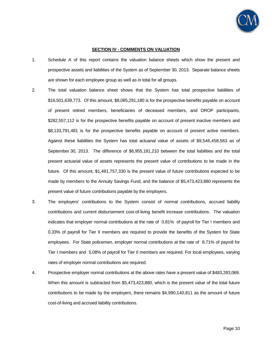

#### **SECTION IV - COMMENTS ON VALUATION**

- 1. Schedule A of this report contains the valuation balance sheets which show the present and prospective assets and liabilities of the System as of September 30, 2013. Separate balance sheets are shown for each employee group as well as in total for all groups.
- 2. The total valuation balance sheet shows that the System has total prospective liabilities of \$16,501,639,773. Of this amount, \$8,085,291,180 is for the prospective benefits payable on account of present retired members, beneficiaries of deceased members, and DROP participants, \$282,557,112 is for the prospective benefits payable on account of present inactive members and \$8,133,791,481 is for the prospective benefits payable on account of present active members. Against these liabilities the System has total actuarial value of assets of \$9,546,458,563 as of September 30, 2013. The difference of \$6,955,181,210 between the total liabilities and the total present actuarial value of assets represents the present value of contributions to be made in the future. Of this amount, \$1,481,757,330 is the present value of future contributions expected to be made by members to the Annuity Savings Fund, and the balance of \$5,473,423,880 represents the present value of future contributions payable by the employers.
- 3. The employers' contributions to the System consist of normal contributions, accrued liability contributions and current disbursement cost-of-living benefit increase contributions. The valuation indicates that employer normal contributions at the rate of 0.81% of payroll for Tier I members and 0.33% of payroll for Tier II members are required to provide the benefits of the System for State employees. For State policemen, employer normal contributions at the rate of 8.71% of payroll for Tier I members and 5.08% of payroll for Tier II members are required. For local employees, varying rates of employer normal contributions are required.
- 4. Prospective employer normal contributions at the above rates have a present value of \$483,283,069. When this amount is subtracted from \$5,473,423,880, which is the present value of the total future contributions to be made by the employers, there remains \$4,990,140,811 as the amount of future cost-of-living and accrued liability contributions.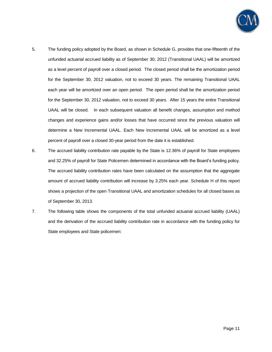

- 5. The funding policy adopted by the Board, as shown in Schedule G, provides that one-fifteenth of the unfunded actuarial accrued liability as of September 30, 2012 (Transitional UAAL) will be amortized as a level percent of payroll over a closed period. The closed period shall be the amortization period for the September 30, 2012 valuation, not to exceed 30 years. The remaining Transitional UAAL each year will be amortized over an open period. The open period shall be the amortization period for the September 30, 2012 valuation, not to exceed 30 years. After 15 years the entire Transitional UAAL will be closed. In each subsequent valuation all benefit changes, assumption and method changes and experience gains and/or losses that have occurred since the previous valuation will determine a New Incremental UAAL. Each New Incremental UAAL will be amortized as a level percent of payroll over a closed 30-year period from the date it is established.
- 6. The accrued liability contribution rate payable by the State is 12.36% of payroll for State employees and 32.25% of payroll for State Policemen determined in accordance with the Board's funding policy. The accrued liability contribution rates have been calculated on the assumption that the aggregate amount of accrued liability contribution will increase by 3.25% each year. Schedule H of this report shows a projection of the open Transitional UAAL and amortization schedules for all closed bases as of September 30, 2013.
- 7. The following table shows the components of the total unfunded actuarial accrued liability (UAAL) and the derivation of the accrued liability contribution rate in accordance with the funding policy for State employees and State policemen: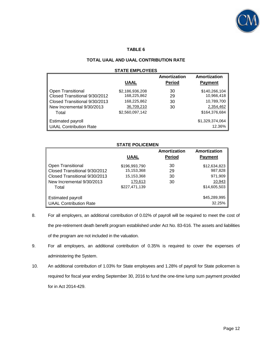

#### **TABLE 6**

# **TOTAL UAAL AND UAAL CONTRIBUTION RATE**

#### **STATE EMPLOYEES**

|                               |                 | Amortization  | Amortization    |
|-------------------------------|-----------------|---------------|-----------------|
|                               | UAAL            | <b>Period</b> | <b>Payment</b>  |
| <b>Open Transitional</b>      | \$2,186,936,208 | 30            | \$140,266,104   |
| Closed Transitional 9/30/2012 | 168,225,862     | 29            | 10,966,418      |
| Closed Transitional 9/30/2013 | 168,225,862     | 30            | 10,789,700      |
| New Incremental 9/30/2013     | 36,709,210      | 30            | 2,354,462       |
| Total                         | \$2,560,097,142 |               | \$164,376,684   |
| <b>Estimated payroll</b>      |                 |               | \$1,329,374,064 |
| <b>UAAL Contribution Rate</b> |                 |               | 12.36%          |

# **STATE POLICEMEN**

|                                                                                                                           | <b>UAAL</b>                                                           | Amortization<br><b>Period</b> | Amortization<br><b>Payment</b>                               |
|---------------------------------------------------------------------------------------------------------------------------|-----------------------------------------------------------------------|-------------------------------|--------------------------------------------------------------|
| Open Transitional<br>Closed Transitional 9/30/2012<br>Closed Transitional 9/30/2013<br>New Incremental 9/30/2013<br>Total | \$196,993,790<br>15,153,368<br>15,153,368<br>170,613<br>\$227,471,139 | 30<br>29<br>30<br>30          | \$12,634,823<br>987,828<br>971,909<br>10,943<br>\$14,605,503 |
| <b>Estimated payroll</b><br><b>UAAL Contribution Rate</b>                                                                 |                                                                       |                               | \$45,289,995<br>32.25%                                       |

- 8. For all employers, an additional contribution of 0.02% of payroll will be required to meet the cost of the pre-retirement death benefit program established under Act No. 83-616. The assets and liabilities of the program are not included in the valuation.
- 9. For all employers, an additional contribution of 0.35% is required to cover the expenses of administering the System.
- 10. An additional contribution of 1.03% for State employees and 1.28% of payroll for State policemen is required for fiscal year ending September 30, 2016 to fund the one-time lump sum payment provided for in Act 2014-429.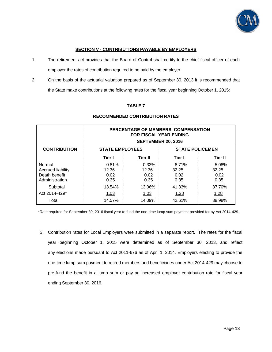

# **SECTION V - CONTRIBUTIONS PAYABLE BY EMPLOYERS**

- 1. The retirement act provides that the Board of Control shall certify to the chief fiscal officer of each employer the rates of contribution required to be paid by the employer.
- 2. On the basis of the actuarial valuation prepared as of September 30, 2013 it is recommended that the State make contributions at the following rates for the fiscal year beginning October 1, 2015:

# **TABLE 7**

|                                                                       | PERCENTAGE OF MEMBERS' COMPENSATION<br><b>FOR FISCAL YEAR ENDING</b><br><b>SEPTEMBER 20, 2016</b> |                                |                                |                                |  |  |
|-----------------------------------------------------------------------|---------------------------------------------------------------------------------------------------|--------------------------------|--------------------------------|--------------------------------|--|--|
| <b>CONTRIBUTION</b>                                                   | <b>STATE EMPLOYEES</b><br><b>STATE POLICEMEN</b>                                                  |                                |                                |                                |  |  |
|                                                                       | Tier I                                                                                            | Tier II                        | Tier I                         | Tier II                        |  |  |
| Normal<br><b>Accrued liability</b><br>Death benefit<br>Administration | 0.81%<br>12.36<br>0.02<br>0.35                                                                    | 0.33%<br>12.36<br>0.02<br>0.35 | 8.71%<br>32.25<br>0.02<br>0.35 | 5.08%<br>32.25<br>0.02<br>0.35 |  |  |
| Subtotal<br>Act 2014-429*                                             | 13.54%<br>1.03                                                                                    | 13.06%<br>1.03                 | 41.33%<br>1.28                 | 37.70%<br>1.28                 |  |  |
| Total                                                                 | 14.57%                                                                                            | 14.09%                         | 42.61%                         | 38.98%                         |  |  |

# **RECOMMENDED CONTRIBUTION RATES**

\*Rate required for September 30, 2016 fiscal year to fund the one-time lump sum payment provided for by Act 2014-429.

3. Contribution rates for Local Employers were submitted in a separate report. The rates for the fiscal year beginning October 1, 2015 were determined as of September 30, 2013, and reflect any elections made pursuant to Act 2011-676 as of April 1, 2014. Employers electing to provide the one-time lump sum payment to retired members and beneficiaries under Act 2014-429 may choose to pre-fund the benefit in a lump sum or pay an increased employer contribution rate for fiscal year ending September 30, 2016.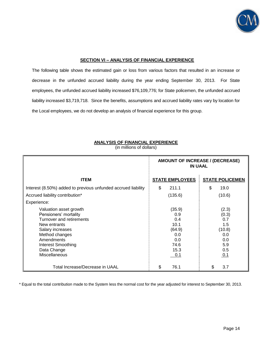

#### **SECTION VI – ANALYSIS OF FINANCIAL EXPERIENCE**

The following table shows the estimated gain or loss from various factors that resulted in an increase or decrease in the unfunded accrued liability during the year ending September 30, 2013. For State employees, the unfunded accrued liability increased \$76,109,776; for State policemen, the unfunded accrued liability increased \$3,719,718. Since the benefits, assumptions and accrued liability rates vary by location for the Local employees, we do not develop an analysis of financial experience for this group.

|                                                               | AMOUNT OF INCREASE / (DECREASE)<br><b>IN UAAL</b> |                        |  |
|---------------------------------------------------------------|---------------------------------------------------|------------------------|--|
| <b>ITEM</b>                                                   | <b>STATE EMPLOYEES</b>                            | <b>STATE POLICEMEN</b> |  |
| Interest (8.50%) added to previous unfunded accrued liability | \$<br>211.1                                       | \$<br>19.0             |  |
| Accrued liability contribution*                               | (135.6)                                           | (10.6)                 |  |
| Experience:                                                   |                                                   |                        |  |
| Valuation asset growth                                        | (35.9)                                            | (2.3)                  |  |
| Pensioners' mortality                                         | 0.9                                               | (0.3)                  |  |
| Turnover and retirements                                      | 0.4                                               | 0.7                    |  |
| New entrants                                                  | 10.1                                              | 1.5                    |  |
| Salary increases                                              | (64.9)                                            | (10.8)                 |  |
| Method changes                                                | 0.0                                               | 0.0                    |  |
| Amendments                                                    | 0.0                                               | 0.0                    |  |
| Interest Smoothing                                            | 74.6                                              | 5.9                    |  |
| Data Change                                                   | 15.3                                              | 0.5                    |  |
| <b>Miscellaneous</b>                                          | 0.1                                               | 0.1                    |  |
| Total Increase/Decrease in UAAL                               | \$<br>76.1                                        | 3.7<br>S.              |  |

**ANALYSIS OF FINANCIAL EXPERIENCE** (in millions of dollars)

\* Equal to the total contribution made to the System less the normal cost for the year adjusted for interest to September 30, 2013.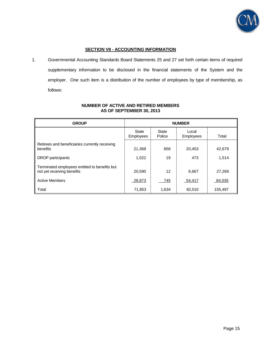

# **SECTION VII - ACCOUNTING INFORMATION**

1. Governmental Accounting Standards Board Statements 25 and 27 set forth certain items of required supplementary information to be disclosed in the financial statements of the System and the employer. One such item is a distribution of the number of employees by type of membership, as follows:

| <b>GROUP</b>                                                                | <b>NUMBER</b>      |                 |                           |         |  |  |
|-----------------------------------------------------------------------------|--------------------|-----------------|---------------------------|---------|--|--|
|                                                                             | State<br>Employees | State<br>Police | Local<br><b>Employees</b> | Total   |  |  |
| Retirees and beneficiaries currently receiving<br>benefits                  | 21,368             | 858             | 20,453                    | 42,679  |  |  |
| DROP participants                                                           | 1,022              | 19              | 473                       | 1,514   |  |  |
| Terminated employees entitled to benefits but<br>not yet receiving benefits | 20.590             | 12              | 6,667                     | 27,269  |  |  |
| <b>Active Members</b>                                                       | 28,873             | 745             | 54,417                    | 84,035  |  |  |
| Total                                                                       | 71,853             | 1,634           | 82,010                    | 155,497 |  |  |

# **NUMBER OF ACTIVE AND RETIRED MEMBERS AS OF SEPTEMBER 30, 2013**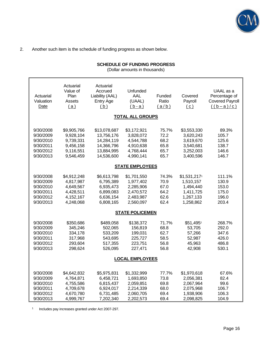

2. Another such item is the schedule of funding progress as shown below.

# **SCHEDULE OF FUNDING PROGRESS**

(Dollar amounts in thousands)

| Actuarial<br>Valuation<br>Date                                             | Actuarial<br>Value of<br>Plan<br>Assets<br>(a)                               | Actuarial<br>Accrued<br>Liability (AAL)<br>Entry Age<br>(b)                        | Unfunded<br>AAL<br>(UAAL)<br>$(b-a)$                                         | Funded<br>Ratio<br>(a/b)                      | Covered<br>Payroll<br>(c)                                                     | UAAL as a<br>Percentage of<br><b>Covered Payroll</b><br>$((b-a)/c)$ |  |
|----------------------------------------------------------------------------|------------------------------------------------------------------------------|------------------------------------------------------------------------------------|------------------------------------------------------------------------------|-----------------------------------------------|-------------------------------------------------------------------------------|---------------------------------------------------------------------|--|
|                                                                            |                                                                              |                                                                                    | <b>TOTAL ALL GROUPS</b>                                                      |                                               |                                                                               |                                                                     |  |
| 9/30/2008<br>9/30/2009<br>9/30/2010<br>9/30/2011<br>9/30/2012<br>9/30/2013 | \$9,905,766<br>9,928,104<br>9,739,331<br>9,456,158<br>9,116,551<br>9,546,459 | \$13,078,687<br>13,756,176<br>14,284,119<br>14,366,796<br>13,884,995<br>14,536,600 | \$3,172,921<br>3,828,072<br>4,544,788<br>4,910,638<br>4,768,444<br>4,990,141 | 75.7%<br>72.2<br>68.2<br>65.8<br>65.7<br>65.7 | \$3,553,330<br>3,620,243<br>3,619,670<br>3,540,681<br>3,252,003<br>3,400,596  | 89.3%<br>105.7<br>125.6<br>138.7<br>146.6<br>146.7                  |  |
|                                                                            |                                                                              |                                                                                    | <b>STATE EMPLOYEES</b>                                                       |                                               |                                                                               |                                                                     |  |
| 9/30/2008<br>9/30/2009<br>9/30/2010<br>9/30/2011<br>9/30/2012<br>9/30/2013 | \$4,912,248<br>4,817,987<br>4,649,567<br>4,428,511<br>4,152,167<br>4,248,068 | \$6,613,798<br>6,795,389<br>6,935,473<br>6,899,083<br>6,636,154<br>6,808,165       | \$1,701,550<br>1,977,402<br>2,285,906<br>2,470,572<br>2,483,987<br>2,560,097 | 74.3%<br>70.9<br>67.0<br>64.2<br>62.6<br>62.4 | \$1,531,2171<br>1,510,157<br>1,494,440<br>1,411,725<br>1,267,133<br>1,258,862 | 111.1%<br>130.9<br>153.0<br>175.0<br>196.0<br>203.4                 |  |
|                                                                            | <b>STATE POLICEMEN</b>                                                       |                                                                                    |                                                                              |                                               |                                                                               |                                                                     |  |
| 9/30/2008<br>9/30/2009<br>9/30/2010<br>9/30/2011<br>9/30/2012<br>9/30/2013 | \$350,686<br>345,246<br>334,178<br>317,968<br>293,604<br>298,624             | \$489,058<br>502,065<br>533,209<br>543,695<br>517,355<br>526,095                   | \$138,372<br>156,819<br>199,031<br>225,727<br>223,751<br>227,471             | 71.7%<br>68.8<br>62.7<br>58.5<br>56.8<br>56.8 | \$51,4951<br>53,705<br>57,266<br>52,987<br>45,963<br>42,908                   | 268.7%<br>292.0<br>347.6<br>426.0<br>486.8<br>530.1                 |  |
|                                                                            |                                                                              |                                                                                    | <b>LOCAL EMPLOYEES</b>                                                       |                                               |                                                                               |                                                                     |  |
| 9/30/2008<br>9/30/2009<br>9/30/2010<br>9/30/2011<br>9/30/2012<br>9/30/2013 | \$4,642,832<br>4,764,871<br>4,755,586<br>4,709,678<br>4,670,780<br>4,999,767 | \$5,975,831<br>6,458,721<br>6,815,437<br>6,924,017<br>6,731,485<br>7,202,340       | \$1,332,999<br>1,693,850<br>2,059,851<br>2,214,339<br>2,060,705<br>2,202,573 | 77.7%<br>73.8<br>69.8<br>68.0<br>69.4<br>69.4 | \$1,970,618<br>2,056,381<br>2,067,964<br>2,075,968<br>1,938,906<br>2,098,825  | 67.6%<br>82.4<br>99.6<br>106.7<br>106.3<br>104.9                    |  |

1 Includes pay increases granted under Act 2007-297.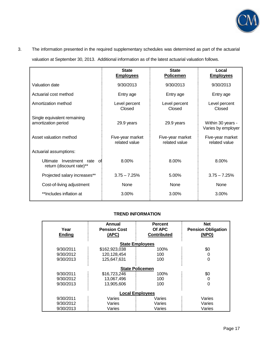

# 3. The information presented in the required supplementary schedules was determined as part of the actuarial

valuation at September 30, 2013. Additional information as of the latest actuarial valuation follows.

|                                                                | <b>State</b><br><b>Employees</b>  | <b>State</b><br><b>Policemen</b>  | Local<br><b>Employees</b>               |
|----------------------------------------------------------------|-----------------------------------|-----------------------------------|-----------------------------------------|
| Valuation date                                                 | 9/30/2013                         | 9/30/2013                         | 9/30/2013                               |
| Actuarial cost method                                          | Entry age                         | Entry age                         | Entry age                               |
| Amortization method                                            | Level percent<br>Closed           | Level percent<br>Closed           | Level percent<br>Closed                 |
| Single equivalent remaining<br>amortization period             | 29.9 years                        | 29.9 years                        | Within 30 years -<br>Varies by employer |
| Asset valuation method                                         | Five-year market<br>related value | Five-year market<br>related value | Five-year market<br>related value       |
| Actuarial assumptions:                                         |                                   |                                   |                                         |
| Ultimate<br>Investment rate<br>nfi<br>return (discount rate)** | 8.00%                             | 8.00%                             | 8.00%                                   |
| Projected salary increases**                                   | $3.75 - 7.25%$                    | 5.00%                             | $3.75 - 7.25%$                          |
| Cost-of-living adjustment                                      | None                              | <b>None</b>                       | None                                    |
| **Includes inflation at                                        | 3.00%                             | $3.00\%$                          | 3.00%                                   |

# **TREND INFORMATION**

|                        | Annual              | <b>Percent</b>         | <b>Net</b>                |  |  |  |
|------------------------|---------------------|------------------------|---------------------------|--|--|--|
| Year                   | <b>Pension Cost</b> | Of APC                 | <b>Pension Obligation</b> |  |  |  |
| <b>Ending</b>          | (APC)               | <b>Contributed</b>     | (NPO)                     |  |  |  |
|                        |                     |                        |                           |  |  |  |
|                        |                     | <b>State Employees</b> |                           |  |  |  |
| 9/30/2011              | \$162,923,038       | 100%                   | \$0                       |  |  |  |
| 9/30/2012              | 120,128,454         | 100                    | 0                         |  |  |  |
| 9/30/2013              | 125,647,631         | 100                    | 0                         |  |  |  |
|                        |                     |                        |                           |  |  |  |
| <b>State Policemen</b> |                     |                        |                           |  |  |  |
| 9/30/2011              | \$16,723,246        | 100%                   | \$0                       |  |  |  |
| 9/30/2012              | 13,067,496          | 100                    | 0                         |  |  |  |
| 9/30/2013              | 13.905.606          | 100                    | 0                         |  |  |  |
|                        |                     |                        |                           |  |  |  |
| <b>Local Employees</b> |                     |                        |                           |  |  |  |
| 9/30/2011              | Varies              | Varies                 | Varies                    |  |  |  |
| 9/30/2012              | Varies              | Varies                 | Varies                    |  |  |  |
| 9/30/2013              | Varies              | Varies                 | Varies                    |  |  |  |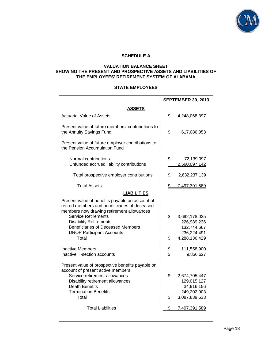

# **SCHEDULE A**

## **VALUATION BALANCE SHEET SHOWING THE PRESENT AND PROSPECTIVE ASSETS AND LIABILITIES OF THE EMPLOYEES' RETIREMENT SYSTEM OF ALABAMA**

#### **STATE EMPLOYEES**

|                                                                                                                                               | <b>SEPTEMBER 30, 2013</b> |               |  |
|-----------------------------------------------------------------------------------------------------------------------------------------------|---------------------------|---------------|--|
| ASSETS                                                                                                                                        |                           |               |  |
| <b>Actuarial Value of Assets</b>                                                                                                              | \$                        | 4,248,068,397 |  |
| Present value of future members' contributions to<br>the Annuity Savings Fund                                                                 | \$                        | 617,086,053   |  |
| Present value of future employer contributions to<br>the Pension Accumulation Fund                                                            |                           |               |  |
| Normal contributions                                                                                                                          | \$                        | 72,139,997    |  |
| Unfunded accrued liability contributions                                                                                                      |                           | 2,560,097,142 |  |
| Total prospective employer contributions                                                                                                      | \$                        | 2,632,237,139 |  |
| <b>Total Assets</b>                                                                                                                           | \$                        | 7,497,391,589 |  |
| <b>LIABILITIES</b>                                                                                                                            |                           |               |  |
| Present value of benefits payable on account of<br>retired members and beneficiaries of deceased<br>members now drawing retirement allowances |                           |               |  |
| <b>Service Retirements</b>                                                                                                                    | \$                        | 3,692,178,035 |  |
| <b>Disability Retirements</b>                                                                                                                 |                           | 226,989,236   |  |
| <b>Beneficiaries of Deceased Members</b>                                                                                                      |                           | 132,744,667   |  |
| <b>DROP Participant Accounts</b>                                                                                                              |                           | 236,224,491   |  |
| Total                                                                                                                                         | \$                        | 4,288,136,429 |  |
| <b>Inactive Members</b>                                                                                                                       | \$                        | 111,558,900   |  |
| <b>Inactive T-section accounts</b>                                                                                                            | \$                        | 9,856,627     |  |
| Present value of prospective benefits payable on<br>account of present active members:                                                        |                           |               |  |
| Service retirement allowances                                                                                                                 | \$                        | 2,674,705,447 |  |
| Disability retirement allowances                                                                                                              |                           | 129,015,127   |  |
| <b>Death Benefits</b>                                                                                                                         |                           | 34,916,156    |  |
| <b>Termination Benefits</b>                                                                                                                   |                           | 249,202,903   |  |
| Total                                                                                                                                         | \$                        | 3,087,839,633 |  |
| <b>Total Liabilities</b>                                                                                                                      | \$                        | 7,497,391,589 |  |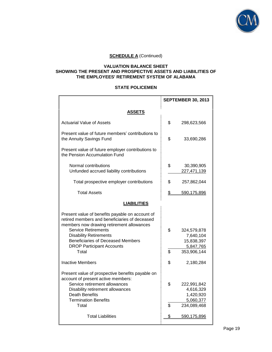

#### **VALUATION BALANCE SHEET SHOWING THE PRESENT AND PROSPECTIVE ASSETS AND LIABILITIES OF THE EMPLOYEES' RETIREMENT SYSTEM OF ALABAMA**

#### **STATE POLICEMEN**

|                                                                                                                                                                                                                                                                                                       | <b>SEPTEMBER 30, 2013</b>                                                      |  |  |  |  |
|-------------------------------------------------------------------------------------------------------------------------------------------------------------------------------------------------------------------------------------------------------------------------------------------------------|--------------------------------------------------------------------------------|--|--|--|--|
| <b>ASSETS</b>                                                                                                                                                                                                                                                                                         |                                                                                |  |  |  |  |
| <b>Actuarial Value of Assets</b>                                                                                                                                                                                                                                                                      | \$<br>298,623,566                                                              |  |  |  |  |
| Present value of future members' contributions to<br>the Annuity Savings Fund                                                                                                                                                                                                                         | \$<br>33,690,286                                                               |  |  |  |  |
| Present value of future employer contributions to<br>the Pension Accumulation Fund                                                                                                                                                                                                                    |                                                                                |  |  |  |  |
| Normal contributions<br>Unfunded accrued liability contributions                                                                                                                                                                                                                                      | \$<br>30,390,905<br>227,471,139                                                |  |  |  |  |
| Total prospective employer contributions                                                                                                                                                                                                                                                              | \$<br>257,862,044                                                              |  |  |  |  |
| <b>Total Assets</b>                                                                                                                                                                                                                                                                                   | \$<br>590,175,896                                                              |  |  |  |  |
| <b>LIABILITIES</b>                                                                                                                                                                                                                                                                                    |                                                                                |  |  |  |  |
| Present value of benefits payable on account of<br>retired members and beneficiaries of deceased<br>members now drawing retirement allowances<br><b>Service Retirements</b><br><b>Disability Retirements</b><br><b>Beneficiaries of Deceased Members</b><br><b>DROP Participant Accounts</b><br>Total | \$<br>324,579,878<br>7,640,104<br>15,838,397<br>5,847,765<br>\$<br>353,906,144 |  |  |  |  |
| <b>Inactive Members</b>                                                                                                                                                                                                                                                                               | \$<br>2,180,284                                                                |  |  |  |  |
| Present value of prospective benefits payable on<br>account of present active members:<br>Service retirement allowances<br>Disability retirement allowances<br><b>Death Benefits</b><br><b>Termination Benefits</b><br>Total                                                                          | \$<br>222,991,842<br>4,616,329<br>1,420,920<br>5,060,377<br>\$<br>234,089,468  |  |  |  |  |
| <b>Total Liabilities</b>                                                                                                                                                                                                                                                                              | \$<br>590,175,896                                                              |  |  |  |  |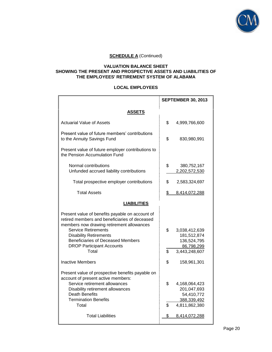

#### **VALUATION BALANCE SHEET SHOWING THE PRESENT AND PROSPECTIVE ASSETS AND LIABILITIES OF THE EMPLOYEES' RETIREMENT SYSTEM OF ALABAMA**

#### **LOCAL EMPLOYEES**

|                                                                                                                                                                                                                                                                                                       |          | <b>SEPTEMBER 30, 2013</b>                                                  |  |  |  |
|-------------------------------------------------------------------------------------------------------------------------------------------------------------------------------------------------------------------------------------------------------------------------------------------------------|----------|----------------------------------------------------------------------------|--|--|--|
| ASSETS                                                                                                                                                                                                                                                                                                |          |                                                                            |  |  |  |
| <b>Actuarial Value of Assets</b>                                                                                                                                                                                                                                                                      | \$       | 4,999,766,600                                                              |  |  |  |
| Present value of future members' contributions<br>to the Annuity Savings Fund                                                                                                                                                                                                                         | \$       | 830,980,991                                                                |  |  |  |
| Present value of future employer contributions to<br>the Pension Accumulation Fund                                                                                                                                                                                                                    |          |                                                                            |  |  |  |
| Normal contributions<br>Unfunded accrued liability contributions                                                                                                                                                                                                                                      | \$       | 380,752,167<br>2,202,572,530                                               |  |  |  |
| Total prospective employer contributions                                                                                                                                                                                                                                                              | \$       | 2,583,324,697                                                              |  |  |  |
| <b>Total Assets</b>                                                                                                                                                                                                                                                                                   | \$       | 8,414,072,288                                                              |  |  |  |
| <b>LIABILITIES</b>                                                                                                                                                                                                                                                                                    |          |                                                                            |  |  |  |
| Present value of benefits payable on account of<br>retired members and beneficiaries of deceased<br>members now drawing retirement allowances<br><b>Service Retirements</b><br><b>Disability Retirements</b><br><b>Beneficiaries of Deceased Members</b><br><b>DROP Participant Accounts</b><br>Total | \$<br>\$ | 3,038,412,639<br>181,512,874<br>136,524,795<br>86,798,299<br>3,443,248,607 |  |  |  |
| <b>Inactive Members</b>                                                                                                                                                                                                                                                                               | \$       | 158,961,301                                                                |  |  |  |
| Present value of prospective benefits payable on<br>account of present active members:<br>Service retirement allowances<br>Disability retirement allowances<br>Death Benefits<br><b>Termination Benefits</b><br>Total                                                                                 | \$<br>\$ | 4,168,064,423<br>201,047,693<br>54,410,772<br>388,339,492<br>4,811,862,380 |  |  |  |
| <b>Total Liabilities</b>                                                                                                                                                                                                                                                                              | \$       | 8,414,072,288                                                              |  |  |  |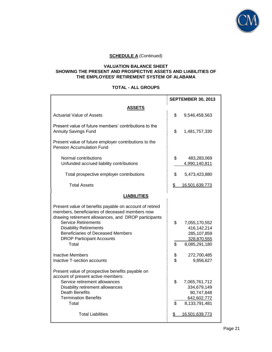

#### **VALUATION BALANCE SHEET SHOWING THE PRESENT AND PROSPECTIVE ASSETS AND LIABILITIES OF THE EMPLOYEES' RETIREMENT SYSTEM OF ALABAMA**

# **TOTAL - ALL GROUPS**

|                                                                                                                                                                                                                                                                                                                           |                | <b>SEPTEMBER 30, 2013</b>                                                                    |
|---------------------------------------------------------------------------------------------------------------------------------------------------------------------------------------------------------------------------------------------------------------------------------------------------------------------------|----------------|----------------------------------------------------------------------------------------------|
| ASSETS                                                                                                                                                                                                                                                                                                                    |                |                                                                                              |
| <b>Actuarial Value of Assets</b>                                                                                                                                                                                                                                                                                          | \$             | 9,546,458,563                                                                                |
| Present value of future members' contributions to the<br><b>Annuity Savings Fund</b>                                                                                                                                                                                                                                      | \$             | 1,481,757,330                                                                                |
| Present value of future employer contributions to the<br><b>Pension Accumulation Fund</b>                                                                                                                                                                                                                                 |                |                                                                                              |
| Normal contributions<br>Unfunded accrued liability contributions                                                                                                                                                                                                                                                          | \$             | 483,283,069<br>4,990,140,811                                                                 |
| Total prospective employer contributions                                                                                                                                                                                                                                                                                  | \$             | 5,473,423,880                                                                                |
| <b>Total Assets</b>                                                                                                                                                                                                                                                                                                       | \$             | 16,501,639,773                                                                               |
| <b>LIABILITIES</b>                                                                                                                                                                                                                                                                                                        |                |                                                                                              |
| Present value of benefits payable on account of retired<br>members, beneficiaries of deceased members now<br>drawing retirement allowances, and DROP participants<br><b>Service Retirements</b><br><b>Disability Retirements</b><br><b>Beneficiaries of Deceased Members</b><br><b>DROP Participant Accounts</b><br>Total | \$<br>\$       | 7,055,170,552<br>416,142,214<br>285,107,859<br>328,870,555<br>8,085,291,180                  |
| <b>Inactive Members</b><br>Inactive T-section accounts                                                                                                                                                                                                                                                                    | \$<br>\$       | 272,700,485<br>9,856,627                                                                     |
| Present value of prospective benefits payable on<br>account of present active members:<br>Service retirement allowances<br>Disability retirement allowances<br>Death Benefits<br><b>Termination Benefits</b><br>Total<br><b>Total Liabilities</b>                                                                         | \$<br>\$<br>\$ | 7,065,761,712<br>334,679,149<br>90,747,848<br>642,602,772<br>8,133,791,481<br>16,501,639,773 |
|                                                                                                                                                                                                                                                                                                                           |                |                                                                                              |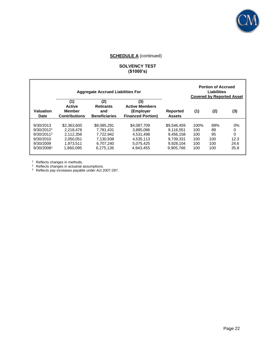

# **SOLVENCY TEST (\$1000's)**

|                          |                                                               | <b>Aggregate Accrued Liabilities For</b>               |                                                                       |                                  |      | <b>Portion of Accrued</b><br><b>Liabilities</b><br><b>Covered by Reported Asset</b> |      |
|--------------------------|---------------------------------------------------------------|--------------------------------------------------------|-----------------------------------------------------------------------|----------------------------------|------|-------------------------------------------------------------------------------------|------|
| Valuation<br><b>Date</b> | (1)<br><b>Active</b><br><b>Member</b><br><b>Contributions</b> | (2)<br><b>Retirants</b><br>and<br><b>Beneficiaries</b> | (3)<br><b>Active Members</b><br>(Employer<br><b>Financed Portion)</b> | <b>Reported</b><br><b>Assets</b> | (1)  | (2)                                                                                 | (3)  |
| 9/30/2013                | \$2,363,600                                                   | \$8,085,291                                            | \$4,087,709                                                           | \$9,546,459                      | 100% | 89%                                                                                 | 0%   |
| 9/30/2012 <sup>1</sup>   | 2.218.478                                                     | 7.781.431                                              | 3.885.086                                                             | 9.116.551                        | 100  | 89                                                                                  | 0    |
| $9/30/2011^2$            | 2.112.356                                                     | 7.722.942                                              | 4.531.498                                                             | 9.456.158                        | 100  | 95                                                                                  | 0    |
| 9/30/2010                | 2.050.051                                                     | 7.130.938                                              | 4.535.113                                                             | 9.739.331                        | 100  | 100                                                                                 | 12.3 |
| 9/30/2009                | 1.973.511                                                     | 6.707.240                                              | 5.075.425                                                             | 9,928,104                        | 100  | 100                                                                                 | 24.6 |
| 9/30/20083               | 1.860.095                                                     | 6.275.136                                              | 4.943.455                                                             | 9.905.766                        | 100  | 100                                                                                 | 35.8 |

<sup>1</sup> Reflects changes in methods.

 $2$  Reflects changes in actuarial assumptions.

<sup>3</sup> Reflects pay increases payable under Act 2007-297.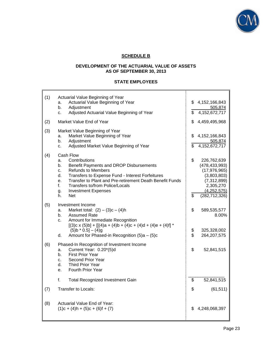

# **SCHEDULE B**

# **DEVELOPMENT OF THE ACTUARIAL VALUE OF ASSETS AS OF SEPTEMBER 30, 2013**

# **STATE EMPLOYEES**

| (1) | Actuarial Value Beginning of Year                                                |                                   |
|-----|----------------------------------------------------------------------------------|-----------------------------------|
|     | Actuarial Value Beginning of Year<br>a.                                          | \$<br>4, 152, 166, 843            |
|     | b.<br>Adjustment<br>Adjusted Actuarial Value Beginning of Year                   | \$<br>505,874<br>4,152,672,717    |
|     | c.                                                                               |                                   |
| (2) | Market Value End of Year                                                         | \$<br>4,459,495,968               |
| (3) | Market Value Beginning of Year                                                   |                                   |
|     | Market Value Beginning of Year<br>a.                                             | \$<br>4, 152, 166, 843            |
|     | Adjustment<br>b.                                                                 | 505,874                           |
|     | Adjusted Market Value Beginning of Year<br>c.                                    | \$<br>4,152,672,717               |
| (4) | Cash Flow                                                                        |                                   |
|     | Contributions<br>a.                                                              | \$<br>226,762,639                 |
|     | Benefit Payments and DROP Disbursements<br>b.<br><b>Refunds to Members</b><br>c. | (478, 433, 993)<br>(17, 976, 965) |
|     | Transfers to Expense Fund - Interest Forfeitures<br>d.                           | (3,803,803)                       |
|     | Transfer to Plant and Pre-retirement Death Benefit Funds<br>e.                   | (7, 312, 899)                     |
|     | f.<br>Transfers to/from Police/Locals                                            | 2,305,270                         |
|     | <b>Investment Expenses</b><br>g.                                                 | (4,252,575)                       |
|     | <b>Net</b><br>h.                                                                 | \$<br>(282, 712, 326)             |
| (5) | Investment Income                                                                | \$                                |
|     | Market total: $(2) - (3)c - (4)h$<br>a.<br>b.<br><b>Assumed Rate</b>             | 589,535,577<br>8.00%              |
|     | Amount for Immediate Recognition<br>C.                                           |                                   |
|     | $[(3)c \times (5)b] + [[(4)a + (4)b + (4)c + (4)d + (4)e + (4)f]$                |                                   |
|     | $(5)$ b * 0.5] – $(4)$ g                                                         | \$<br>325,328,002                 |
|     | Amount for Phased-in Recognition (5)a - (5)c<br>d.                               | \$<br>264, 207, 575               |
| (6) | Phased-In Recognition of Investment Income                                       |                                   |
|     | Current Year: 0.20*(5)d<br>a.                                                    | \$<br>52,841,515                  |
|     | <b>First Prior Year</b><br>b.                                                    |                                   |
|     | Second Prior Year<br>c.<br><b>Third Prior Year</b>                               |                                   |
|     | d.<br><b>Fourth Prior Year</b><br>е.                                             |                                   |
|     |                                                                                  |                                   |
|     | f.<br><b>Total Recognized Investment Gain</b>                                    | \$<br>52,841,515                  |
| (7) | Transfer to Locals:                                                              | \$<br>(61, 511)                   |
|     |                                                                                  |                                   |
| (8) | Actuarial Value End of Year:                                                     |                                   |
|     | $(1)c + (4)h + (5)c + (6)f + (7)$                                                | \$<br>4,248,068,397               |
|     |                                                                                  |                                   |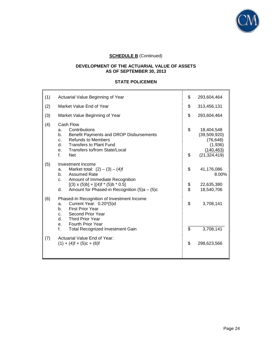

# **DEVELOPMENT OF THE ACTUARIAL VALUE OF ASSETS AS OF SEPTEMBER 30, 2013**

# **STATE POLICEMEN**

| (1) | Actuarial Value Beginning of Year                                                                                                                                                                                                                                    | \$             | 293,604,464                                                                        |
|-----|----------------------------------------------------------------------------------------------------------------------------------------------------------------------------------------------------------------------------------------------------------------------|----------------|------------------------------------------------------------------------------------|
| (2) | Market Value End of Year                                                                                                                                                                                                                                             | \$             | 313,456,131                                                                        |
| (3) | Market Value Beginning of Year                                                                                                                                                                                                                                       | \$             | 293,604,464                                                                        |
| (4) | Cash Flow<br>Contributions<br>a.<br>Benefit Payments and DROP Disbursements<br>b.<br><b>Refunds to Members</b><br>C.<br><b>Transfers to Plant Fund</b><br>d.<br>Transfers to/from State/Local<br>e.<br>f.<br><b>Net</b>                                              | \$<br>\$       | 18,404,548<br>(39,509,920)<br>(76, 648)<br>(1,936)<br>(140, 463)<br>(21, 324, 419) |
| (5) | Investment Income<br>Market total: $(2) - (3) - (4)$ f<br>a.<br><b>Assumed Rate</b><br>b.<br>Amount of Immediate Recognition<br>$C_{-}$<br>$[(3) \times (5) \text{b}] + [(4) \text{f} * (5) \text{b} * 0.5]$<br>Amount for Phased-in Recognition $(5)a - (5)c$<br>d. | \$<br>\$<br>\$ | 41,176,086<br>8.00%<br>22,635,380<br>18,540,706                                    |
| (6) | Phased-In Recognition of Investment Income<br>Current Year: 0.20*(5)d<br>a.<br><b>First Prior Year</b><br>b.<br>Second Prior Year<br>C.<br>Third Prior Year<br>d.<br><b>Fourth Prior Year</b><br>e.<br>f.<br><b>Total Recognized Investment Gain</b>                 | \$<br>\$       | 3,708,141<br>3,708,141                                                             |
| (7) | Actuarial Value End of Year:<br>$(1) + (4) f + (5) c + (6) f$                                                                                                                                                                                                        | \$             | 298,623,566                                                                        |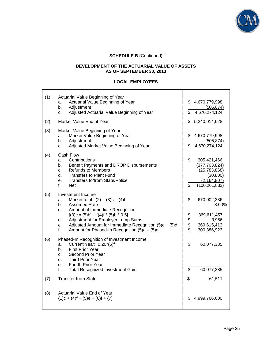

# **DEVELOPMENT OF THE ACTUARIAL VALUE OF ASSETS AS OF SEPTEMBER 30, 2013**

# **LOCAL EMPLOYEES**

| (1) | Actuarial Value Beginning of Year<br>Actuarial Value Beginning of Year<br>a.<br>Adjustment<br>b.<br>Adjusted Actuarial Value Beginning of Year<br>c.                                                                                                                                                                                               | \$<br>\$       | 4,670,779,998<br>(505, 874)<br>4,670,274,124                                                      |
|-----|----------------------------------------------------------------------------------------------------------------------------------------------------------------------------------------------------------------------------------------------------------------------------------------------------------------------------------------------------|----------------|---------------------------------------------------------------------------------------------------|
| (2) | Market Value End of Year                                                                                                                                                                                                                                                                                                                           | \$             | 5,240,014,628                                                                                     |
| (3) | Market Value Beginning of Year<br>Market Value Beginning of Year<br>a.<br>b.<br>Adjustment<br>Adjusted Market Value Beginning of Year<br>c.                                                                                                                                                                                                        | \$<br>\$       | 4,670,779,998<br>(505, 874)<br>4,670,274,124                                                      |
| (4) | Cash Flow<br>Contributions<br>a.<br>Benefit Payments and DROP Disbursements<br>b.<br><b>Refunds to Members</b><br>C.<br><b>Transfers to Plant Fund</b><br>d.<br><b>Transfers to/from State/Police</b><br>e.<br>f.<br><b>Net</b>                                                                                                                    | \$<br>\$       | 305,421,466<br>(377, 703, 824)<br>(25, 783, 868)<br>(30, 800)<br>(2, 164, 807)<br>(100, 261, 833) |
| (5) | Investment Income<br>Market total: $(2) - (3)c - (4)f$<br>a.<br>b.<br><b>Assumed Rate</b><br>Amount of Immediate Recognition<br>C.<br>$[(3)c \times (5)b] + [(4)f * (5)b * 0.5]$<br>Adjustment for Employer Lump Sums<br>d.<br>Adjusted Amount for Immediate Recognition (5)c + (5)d<br>e.<br>f.<br>Amount for Phased-In Recognition $(5)a - (5)e$ | \$<br>\$\$\$\$ | 670,002,336<br>8.00%<br>369,611,457<br>3,956<br>369,615,413<br>300,386,923                        |
| (6) | Phased-In Recognition of Investment Income<br>Current Year: 0.20*(5)f<br>a.<br><b>First Prior Year</b><br>b.<br>Second Prior Year<br>c.<br>d.<br><b>Third Prior Year</b><br>Fourth Prior Year<br>е.<br>f.<br><b>Total Recognized Investment Gain</b>                                                                                               | \$<br>\$       | 60,077,385<br>60,077,385                                                                          |
| (7) | <b>Transfer from State:</b>                                                                                                                                                                                                                                                                                                                        | \$             | 61,511                                                                                            |
| (8) | Actuarial Value End of Year:<br>$(1)c + (4)f + (5)e + (6)f + (7)$                                                                                                                                                                                                                                                                                  | \$             | 4,999,766,600                                                                                     |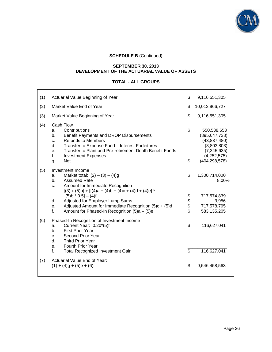

#### **SEPTEMBER 30, 2013 DEVELOPMENT OF THE ACTUARIAL VALUE OF ASSETS**

# **TOTAL - ALL GROUPS**

| (1) | Actuarial Value Beginning of Year                                                                                                                                                                                                                                                                                                                                                                                                                     | \$             | 9,116,551,305                                                                                                    |
|-----|-------------------------------------------------------------------------------------------------------------------------------------------------------------------------------------------------------------------------------------------------------------------------------------------------------------------------------------------------------------------------------------------------------------------------------------------------------|----------------|------------------------------------------------------------------------------------------------------------------|
| (2) | Market Value End of Year                                                                                                                                                                                                                                                                                                                                                                                                                              | \$             | 10,012,966,727                                                                                                   |
| (3) | Market Value Beginning of Year                                                                                                                                                                                                                                                                                                                                                                                                                        | \$             | 9,116,551,305                                                                                                    |
| (4) | Cash Flow<br>Contributions<br>a.<br>b.<br>Benefit Payments and DROP Disbursements<br><b>Refunds to Members</b><br>c.<br>d.<br>Transfer to Expense Fund - Interest Forfeitures<br>Transfer to Plant and Pre-retirement Death Benefit Funds<br>е.<br>f.<br><b>Investment Expenses</b><br><b>Net</b><br>g.                                                                                                                                               | \$<br>\$       | 550,588,653<br>(895, 647, 738)<br>(43,837,480)<br>(3,803,803)<br>(7, 345, 635)<br>(4,252,575)<br>(404, 298, 578) |
| (5) | Investment Income<br>Market total: $(2) - (3) - (4)g$<br>a.<br><b>Assumed Rate</b><br>b.<br>Amount for Immediate Recognition<br>c.<br>$[(3) \times (5) \text{b}] + [[(4) \text{a} + (4) \text{b} + (4) \text{c} + (4) \text{d} + (4) \text{e}]$ <sup>*</sup><br>$(5)$ b * 0.5] – (4)f<br>Adjusted for Employer Lump Sums<br>d.<br>Adjusted Amount for Immediate Recognition (5)c + (5)d<br>е.<br>f.<br>Amount for Phased-In Recognition $(5)a - (5)e$ | \$<br>\$\$\$\$ | 1,300,714,000<br>8.00%<br>717,574,839<br>3,956<br>717,578,795<br>583,135,205                                     |
| (6) | Phased-In Recognition of Investment Income<br>Current Year: 0.20*(5)f<br>a.<br><b>First Prior Year</b><br>b.<br>Second Prior Year<br>C.<br>d.<br><b>Third Prior Year</b><br><b>Fourth Prior Year</b><br>е.<br>f.<br><b>Total Recognized Investment Gain</b>                                                                                                                                                                                           | \$<br>\$       | 116,627,041<br>116,627,041                                                                                       |
| (7) | Actuarial Value End of Year:<br>$(1) + (4)g + (5)e + (6)f$                                                                                                                                                                                                                                                                                                                                                                                            | \$             | 9,546,458,563                                                                                                    |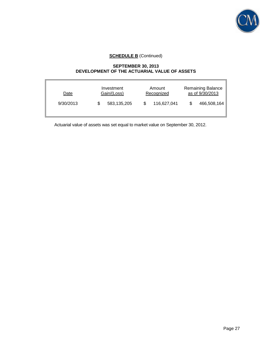

#### **SEPTEMBER 30, 2013 DEVELOPMENT OF THE ACTUARIAL VALUE OF ASSETS**

| Date      | Investment<br>Gain/(Loss) |  | Amount<br>Recognized | <b>Remaining Balance</b><br>as of 9/30/2013 |             |
|-----------|---------------------------|--|----------------------|---------------------------------------------|-------------|
| 9/30/2013 | 583,135,205               |  | 116,627,041          |                                             | 466,508,164 |

Actuarial value of assets was set equal to market value on September 30, 2012.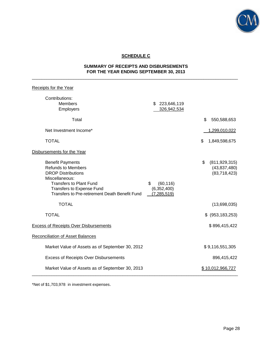

# **SCHEDULE C**

#### **SUMMARY OF RECEIPTS AND DISBURSEMENTS FOR THE YEAR ENDING SEPTEMBER 30, 2013** \_\_\_\_\_\_\_\_\_\_\_\_\_\_\_\_\_\_\_\_\_\_\_\_\_\_\_\_\_\_\_\_\_\_\_\_\_\_\_\_\_\_\_\_\_\_\_\_\_\_\_\_\_\_\_\_\_\_\_\_\_\_\_\_\_\_\_\_\_\_\_\_\_\_\_\_\_\_\_\_\_\_\_\_

| <b>Receipts for the Year</b>                                                                                                                                                                                         |                                                 |                                                         |
|----------------------------------------------------------------------------------------------------------------------------------------------------------------------------------------------------------------------|-------------------------------------------------|---------------------------------------------------------|
| Contributions:<br>Members<br>Employers                                                                                                                                                                               | \$<br>223,646,119<br>326,942,534                |                                                         |
| Total                                                                                                                                                                                                                |                                                 | \$<br>550,588,653                                       |
| Net Investment Income*                                                                                                                                                                                               |                                                 | 1,299,010,022                                           |
| <b>TOTAL</b>                                                                                                                                                                                                         |                                                 | \$<br>1,849,598,675                                     |
| Disbursements for the Year                                                                                                                                                                                           |                                                 |                                                         |
| <b>Benefit Payments</b><br><b>Refunds to Members</b><br><b>DROP Distributions</b><br>Miscellaneous:<br><b>Transfers to Plant Fund</b><br>Transfers to Expense Fund<br>Transfers to Pre-retirement Death Benefit Fund | \$<br>(60, 116)<br>(6,352,400)<br>(7, 285, 519) | \$<br>(811, 929, 315)<br>(43, 837, 480)<br>(83,718,423) |
| <b>TOTAL</b>                                                                                                                                                                                                         |                                                 | (13,698,035)                                            |
| <b>TOTAL</b>                                                                                                                                                                                                         |                                                 | $$$ (953, 183, 253)                                     |
| <b>Excess of Receipts Over Disbursements</b>                                                                                                                                                                         |                                                 | \$896,415,422                                           |
| <b>Reconciliation of Asset Balances</b>                                                                                                                                                                              |                                                 |                                                         |
| Market Value of Assets as of September 30, 2012                                                                                                                                                                      |                                                 | \$9,116,551,305                                         |
| <b>Excess of Receipts Over Disbursements</b>                                                                                                                                                                         |                                                 | 896,415,422                                             |
| Market Value of Assets as of September 30, 2013                                                                                                                                                                      |                                                 | \$10,012,966,727                                        |

\*Net of \$1,703,978 in investment expenses.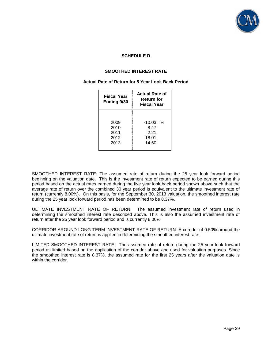

# **SCHEDULE D**

# **SMOOTHED INTEREST RATE**

#### **Actual Rate of Return for 5 Year Look Back Period**

| Fiscal Year<br>Ending 9/30           | <b>Actual Rate of</b><br>Return for<br><b>Fiscal Year</b> |
|--------------------------------------|-----------------------------------------------------------|
| 2009<br>2010<br>2011<br>2012<br>2013 | $-10.03$<br>℅<br>8.47<br>2 21<br>18.01<br>14.60           |

SMOOTHED INTEREST RATE: The assumed rate of return during the 25 year look forward period beginning on the valuation date. This is the investment rate of return expected to be earned during this period based on the actual rates earned during the five year look back period shown above such that the average rate of return over the combined 30 year period is equivalent to the ultimate investment rate of return (currently 8.00%). On this basis, for the September 30, 2013 valuation, the smoothed interest rate during the 25 year look forward period has been determined to be 8.37%.

ULTIMATE INVESTMENT RATE OF RETURN: The assumed investment rate of return used in determining the smoothed interest rate described above. This is also the assumed investment rate of return after the 25 year look forward period and is currently 8.00%.

CORRIDOR AROUND LONG-TERM INVESTMENT RATE OF RETURN: A corridor of 0.50% around the ultimate investment rate of return is applied in determining the smoothed interest rate.

LIMITED SMOOTHED INTEREST RATE: The assumed rate of return during the 25 year look forward period as limited based on the application of the corridor above and used for valuation purposes. Since the smoothed interest rate is 8.37%, the assumed rate for the first 25 years after the valuation date is within the corridor.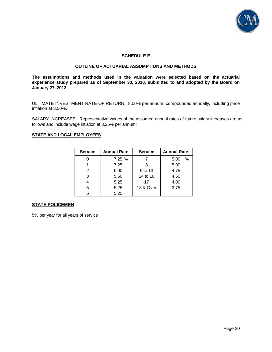

#### **SCHEDULE E**

# **OUTLINE OF ACTUARIAL ASSUMPTIONS AND METHODS**

**The assumptions and methods used in the valuation were selected based on the actuarial experience study prepared as of September 30, 2010, submitted to and adopted by the Board on January 27, 2012.** 

ULTIMATE INVESTMENT RATE OF RETURN: 8.00% per annum, compounded annually, including price inflation at 3.00%.

SALARY INCREASES: Representative values of the assumed annual rates of future salary increases are as follows and include wage inflation at 3.25% per annum:

#### **STATE AND LOCAL EMPLOYEES**

| <b>Service</b> | <b>Annual Rate</b> | <b>Service</b> | <b>Annual Rate</b> |
|----------------|--------------------|----------------|--------------------|
|                | 7.25%              |                | $\%$<br>5.00       |
|                | 7.25               |                | 5.00               |
| 2              | 6.00               | 9 to 13        | 4.75               |
| 3              | 5.50               | 14 to 16       | 4.50               |
|                | 5.25               | 17             | 4.00               |
| 5              | 5.25               | 18 & Over      | 3.75               |
| 6              | 5.25               |                |                    |

#### **STATE POLICEMEN**

5% per year for all years of service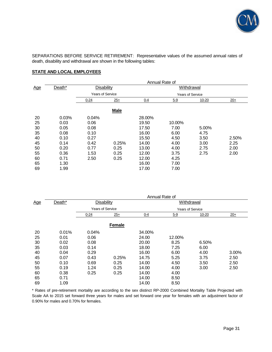

SEPARATIONS BEFORE SERVICE RETIREMENT: Representative values of the assumed annual rates of death, disability and withdrawal are shown in the following tables:

# **STATE AND LOCAL EMPLOYEES**

|            |        | Annual Rate of           |             |         |                         |           |       |
|------------|--------|--------------------------|-------------|---------|-------------------------|-----------|-------|
| <u>Age</u> | Death* | Disability<br>Withdrawal |             |         |                         |           |       |
|            |        | <b>Years of Service</b>  |             |         | <b>Years of Service</b> |           |       |
|            |        | $0 - 24$                 | $25+$       | $0 - 4$ | $5 - 9$                 | $10 - 20$ | $20+$ |
|            |        |                          | <b>Male</b> |         |                         |           |       |
| 20         | 0.03%  | 0.04%                    |             | 28.00%  |                         |           |       |
| 25         | 0.03   | 0.06                     |             | 19.50   | 10.00%                  |           |       |
| 30         | 0.05   | 0.08                     |             | 17.50   | 7.00                    | 5.00%     |       |
| 35         | 0.08   | 0.10                     |             | 16.00   | 6.00                    | 4.75      |       |
| 40         | 0.10   | 0.27                     |             | 15.50   | 4.50                    | 3.50      | 2.50% |
| 45         | 0.14   | 0.42                     | 0.25%       | 14.00   | 4.00                    | 3.00      | 2.25  |
| 50         | 0.20   | 0.77                     | 0.25        | 13.00   | 4.00                    | 2.75      | 2.00  |
| 55         | 0.36   | 1.53                     | 0.25        | 12.00   | 3.75                    | 2.75      | 2.00  |
| 60         | 0.71   | 2.50                     | 0.25        | 12.00   | 4.25                    |           |       |
| 65         | 1.30   |                          |             | 16.00   | 7.00                    |           |       |
| 69         | 1.99   |                          |             | 17.00   | 7.00                    |           |       |

|            |        | Annual Rate of          |               |         |            |                         |       |  |
|------------|--------|-------------------------|---------------|---------|------------|-------------------------|-------|--|
| <u>Age</u> | Death* | Disability              |               |         | Withdrawal |                         |       |  |
|            |        | <b>Years of Service</b> |               |         |            | <b>Years of Service</b> |       |  |
|            |        | $0 - 24$                | $25+$         | $0 - 4$ | $5 - 9$    | $10 - 20$               | $20+$ |  |
|            |        |                         | <b>Female</b> |         |            |                         |       |  |
| 20         | 0.01%  | 0.04%                   |               | 34.00%  |            |                         |       |  |
| 25         | 0.01   | 0.06                    |               | 24.00   | 12.00%     |                         |       |  |
| 30         | 0.02   | 0.08                    |               | 20.00   | 8.25       | 6.50%                   |       |  |
| 35         | 0.03   | 0.14                    |               | 18.00   | 7.25       | 6.00                    |       |  |
| 40         | 0.04   | 0.29                    |               | 16.00   | 6.00       | 4.00                    | 3.00% |  |
| 45         | 0.07   | 0.43                    | 0.25%         | 14.75   | 5.25       | 3.75                    | 2.50  |  |
| 50         | 0.10   | 0.69                    | 0.25          | 14.00   | 4.50       | 3.50                    | 2.50  |  |
| 55         | 0.19   | 1.24                    | 0.25          | 14.00   | 4.00       | 3.00                    | 2.50  |  |
| 60         | 0.38   | 0.25                    | 0.25          | 14.00   | 4.00       |                         |       |  |
| 65         | 0.71   |                         |               | 14.00   | 8.50       |                         |       |  |
| 69         | 1.09   |                         |               | 14.00   | 8.50       |                         |       |  |

\* Rates of pre-retirement mortality are according to the sex distinct RP-2000 Combined Mortality Table Projected with Scale AA to 2015 set forward three years for males and set forward one year for females with an adjustment factor of 0.90% for males and 0.70% for females.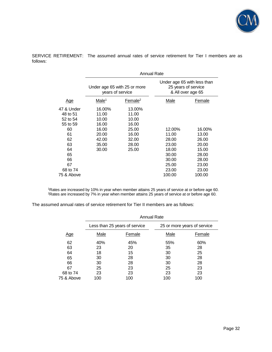

SERVICE RETIREMENT: The assumed annual rates of service retirement for Tier I members are as follows:

|            | Annual Rate                                      |                     |                                                                         |        |  |  |
|------------|--------------------------------------------------|---------------------|-------------------------------------------------------------------------|--------|--|--|
|            | Under age 65 with 25 or more<br>years of service |                     | Under age 65 with less than<br>25 years of service<br>& All over age 65 |        |  |  |
| <u>Age</u> | Male <sup>1</sup>                                | Female <sup>2</sup> | Male                                                                    | Female |  |  |
| 47 & Under | 16.00%                                           | 13.00%              |                                                                         |        |  |  |
| 48 to 51   | 11.00                                            | 11.00               |                                                                         |        |  |  |
| 52 to 54   | 10.00                                            | 10.00               |                                                                         |        |  |  |
| 55 to 59   | 16.00                                            | 16.00               |                                                                         |        |  |  |
| 60         | 16.00                                            | 25.00               | 12.00%                                                                  | 16.00% |  |  |
| 61         | 20.00                                            | 16.00               | 11.00                                                                   | 13.00  |  |  |
| 62         | 42.00                                            | 32.00               | 28.00                                                                   | 26.00  |  |  |
| 63         | 35.00                                            | 28.00               | 23.00                                                                   | 20.00  |  |  |
| 64         | 30.00                                            | 25.00               | 18.00                                                                   | 15.00  |  |  |
| 65         |                                                  |                     | 30.00                                                                   | 28.00  |  |  |
| 66         |                                                  |                     | 30.00                                                                   | 28.00  |  |  |
| 67         |                                                  |                     | 25.00                                                                   | 23.00  |  |  |
| 68 to 74   |                                                  |                     | 23.00                                                                   | 23.00  |  |  |
| 75 & Above |                                                  |                     | 100.00                                                                  | 100.00 |  |  |

<sup>1</sup>Rates are increased by 10% in year when member attains 25 years of service at or before age 60. <sup>2</sup>Rates are increased by 7% in year when member attains 25 years of service at or before age 60.

The assumed annual rates of service retirement for Tier II members are as follows:

|            |      | <b>Annual Rate</b>            |      |                             |
|------------|------|-------------------------------|------|-----------------------------|
|            |      | Less than 25 years of service |      | 25 or more years of service |
| <u>Age</u> | Male | Female                        | Male | Female                      |
| 62         | 40%  | 45%                           | 55%  | 60%                         |
| 63         | 23   | 20                            | 35   | 28                          |
| 64         | 18   | 15                            | 30   | 25                          |
| 65         | 30   | 28                            | 30   | 28                          |
| 66         | 30   | 28                            | 30   | 28                          |
| 67         | 25   | 23                            | 25   | 23                          |
| 68 to 74   | 23   | 23                            | 23   | 23                          |
| 75 & Above | 100  | 100                           | 100  | 100                         |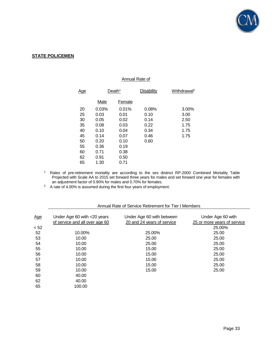

#### **STATE POLICEMEN**

#### Annual Rate of

| <u>Age</u> | Death <sup>1</sup> |        | Disability | Withdrawal <sup>2</sup> |
|------------|--------------------|--------|------------|-------------------------|
|            | <u>Male</u>        | Female |            |                         |
| 20         | 0.03%              | 0.01%  | 0.08%      | 3.00%                   |
| 25         | 0.03               | 0.01   | 0.10       | 3.00                    |
| 30         | 0.05               | 0.02   | 0.14       | 2.50                    |
| 35         | 0.08               | 0.03   | 0.22       | 1.75                    |
| 40         | 0.10               | 0.04   | 0.34       | 1.75                    |
| 45         | 0.14               | 0.07   | 0.46       | 1.75                    |
| 50         | 0.20               | 0.10   | 0.60       |                         |
| 55         | 0.36               | 0.19   |            |                         |
| 60         | 0.71               | 0.38   |            |                         |
| 62         | 0.91               | 0.50   |            |                         |
| 65         | 1.30               | 0.71   |            |                         |

<sup>1</sup> Rates of pre-retirement mortality are according to the sex distinct RP-2000 Combined Mortality Table Projected with Scale AA to 2015 set forward three years for males and set forward one year for females with an adjustment factor of 0.90% for males and 0.70% for females.

<sup>2</sup> A rate of 4.00% is assumed during the first four years of employment.

| Under Age 60 with <20 years    | Under Age 60 with between  | Under Age 60 with                                       |
|--------------------------------|----------------------------|---------------------------------------------------------|
| of service and all over age 60 | 20 and 24 years of service | 25 or more years of service                             |
|                                |                            | 25.00%                                                  |
| 10.00%                         | 25.00%                     | 25.00                                                   |
| 10.00                          | 25.00                      | 25.00                                                   |
| 10.00                          | 25.00                      | 25.00                                                   |
| 10.00                          | 15.00                      | 25.00                                                   |
| 10.00                          | 15.00                      | 25.00                                                   |
| 10.00                          | 15.00                      | 25.00                                                   |
| 10.00                          | 15.00                      | 25.00                                                   |
| 10.00                          | 15.00                      | 25.00                                                   |
| 40.00                          |                            |                                                         |
| 40.00                          |                            |                                                         |
| 100.00                         |                            |                                                         |
|                                |                            | Allitual Rate of Service Retirement for Tier Evietingly |

# Annual Rate of Service Retirement for Tier I Members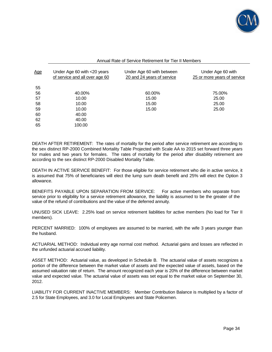

| Annual Rate of Service Retirement for Tier II Members |
|-------------------------------------------------------|
|-------------------------------------------------------|

| <u>Age</u> | Under Age 60 with $<$ 20 years<br>of service and all over age 60 | Under Age 60 with between<br>20 and 24 years of service | Under Age 60 with<br>25 or more years of service |
|------------|------------------------------------------------------------------|---------------------------------------------------------|--------------------------------------------------|
| 55         |                                                                  |                                                         |                                                  |
| 56         | 40.00%                                                           | 60.00%                                                  | 75.00%                                           |
| 57         | 10.00                                                            | 15.00                                                   | 25.00                                            |
| 58         | 10.00                                                            | 15.00                                                   | 25.00                                            |
| 59         | 10.00                                                            | 15.00                                                   | 25.00                                            |
| 60         | 40.00                                                            |                                                         |                                                  |
| 62         | 40.00                                                            |                                                         |                                                  |
| 65         | 100.00                                                           |                                                         |                                                  |

DEATH AFTER RETIREMENT: The rates of mortality for the period after service retirement are according to the sex distinct RP-2000 Combined Mortality Table Projected with Scale AA to 2015 set forward three years for males and two years for females. The rates of mortality for the period after disability retirement are according to the sex distinct RP-2000 Disabled Mortality Table.

DEATH IN ACTIVE SERVICE BENEFIT: For those eligible for service retirement who die in active service, it is assumed that 75% of beneficiaries will elect the lump sum death benefit and 25% will elect the Option 3 allowance.

BENEFITS PAYABLE UPON SEPARATION FROM SERVICE: For active members who separate from service prior to eligibility for a service retirement allowance, the liability is assumed to be the greater of the value of the refund of contributions and the value of the deferred annuity.

UNUSED SICK LEAVE: 2.25% load on service retirement liabilities for active members (No load for Tier II members).

PERCENT MARRIED: 100% of employees are assumed to be married, with the wife 3 years younger than the husband.

ACTUARIAL METHOD: Individual entry age normal cost method. Actuarial gains and losses are reflected in the unfunded actuarial accrued liability.

ASSET METHOD: Actuarial value, as developed in Schedule B. The actuarial value of assets recognizes a portion of the difference between the market value of assets and the expected value of assets, based on the assumed valuation rate of return. The amount recognized each year is 20% of the difference between market value and expected value. The actuarial value of assets was set equal to the market value on September 30, 2012.

LIABILITY FOR CURRENT INACTIVE MEMBERS: Member Contribution Balance is multiplied by a factor of 2.5 for State Employees, and 3.0 for Local Employees and State Policemen.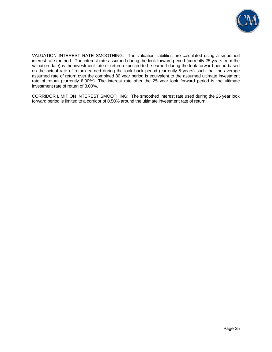

VALUATION INTEREST RATE SMOOTHING: The valuation liabilities are calculated using a smoothed interest rate method. The interest rate assumed during the look forward period (currently 25 years from the valuation date) is the investment rate of return expected to be earned during the look forward period based on the actual rate of return earned during the look back period (currently 5 years) such that the average assumed rate of return over the combined 30 year period is equivalent to the assumed ultimate investment rate of return (currently 8.00%). The interest rate after the 25 year look forward period is the ultimate investment rate of return of 8.00%.

CORRIDOR LIMIT ON INTEREST SMOOTHING: The smoothed interest rate used during the 25 year look forward period is limited to a corridor of 0.50% around the ultimate investment rate of return.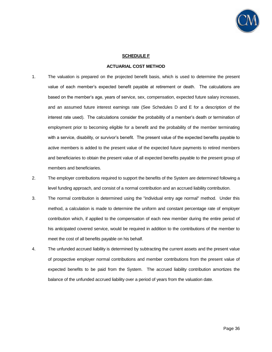

#### **SCHEDULE F**

#### **ACTUARIAL COST METHOD**

- 1. The valuation is prepared on the projected benefit basis, which is used to determine the present value of each member's expected benefit payable at retirement or death. The calculations are based on the member's age, years of service, sex, compensation, expected future salary increases, and an assumed future interest earnings rate (See Schedules D and E for a description of the interest rate used). The calculations consider the probability of a member's death or termination of employment prior to becoming eligible for a benefit and the probability of the member terminating with a service, disability, or survivor's benefit. The present value of the expected benefits payable to active members is added to the present value of the expected future payments to retired members and beneficiaries to obtain the present value of all expected benefits payable to the present group of members and beneficiaries.
- 2. The employer contributions required to support the benefits of the System are determined following a level funding approach, and consist of a normal contribution and an accrued liability contribution.
- 3. The normal contribution is determined using the "individual entry age normal" method. Under this method, a calculation is made to determine the uniform and constant percentage rate of employer contribution which, if applied to the compensation of each new member during the entire period of his anticipated covered service, would be required in addition to the contributions of the member to meet the cost of all benefits payable on his behalf.
- 4. The unfunded accrued liability is determined by subtracting the current assets and the present value of prospective employer normal contributions and member contributions from the present value of expected benefits to be paid from the System. The accrued liability contribution amortizes the balance of the unfunded accrued liability over a period of years from the valuation date.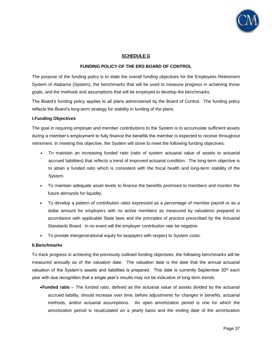

#### **SCHEDULE G**

#### **FUNDING POLICY OF THE ERS BOARD OF CONTROL**

The purpose of the funding policy is to state the overall funding objectives for the Employees Retirement System of Alabama (System), the benchmarks that will be used to measure progress in achieving those goals, and the methods and assumptions that will be employed to develop the benchmarks.

The Board's funding policy applies to all plans administered by the Board of Control. The funding policy reflects the Board's long-term strategy for stability in funding of the plans.

#### **I. Funding Objectives**

The goal in requiring employer and member contributions to the System is to accumulate sufficient assets during a member's employment to fully finance the benefits the member is expected to receive throughout retirement. In meeting this objective, the System will strive to meet the following funding objectives:

- To maintain an increasing funded ratio (ratio of system actuarial value of assets to actuarial accrued liabilities) that reflects a trend of improved actuarial condition. The long-term objective is to attain a funded ratio which is consistent with the fiscal health and long-term stability of the System.
- To maintain adequate asset levels to finance the benefits promised to members and monitor the future demands for liquidity.
- To develop a pattern of contribution rates expressed as a percentage of member payroll or as a dollar amount for employers with no active members as measured by valuations prepared in accordance with applicable State laws and the principles of practice prescribed by the Actuarial Standards Board. In no event will the employer contribution rate be negative.
- To provide intergenerational equity for taxpayers with respect to System costs.

#### **II. Benchmarks**

To track progress in achieving the previously outlined funding objectives, the following benchmarks will be measured annually as of the valuation date. The valuation date is the date that the annual actuarial valuation of the System's assets and liabilities is prepared. This date is currently September  $30<sup>th</sup>$  each year with due recognition that a single year's results may not be indicative of long-term trends:

**Funded ratio** – The funded ratio, defined as the actuarial value of assets divided by the actuarial accrued liability, should increase over time, before adjustments for changes in benefits, actuarial methods, and/or actuarial assumptions. An open amortization period is one for which the amortization period is recalculated on a yearly basis and the ending date of the amortization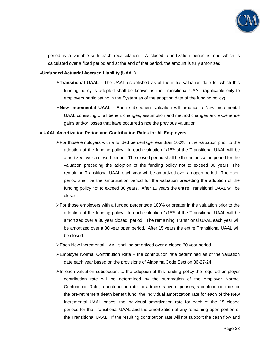

period is a variable with each recalculation. A closed amortization period is one which is calculated over a fixed period and at the end of that period, the amount is fully amortized.

#### **Unfunded Actuarial Accrued Liability (UAAL)**

- **Transitional UAAL -** The UAAL established as of the initial valuation date for which this funding policy is adopted shall be known as the Transitional UAAL (applicable only to employers participating in the System as of the adoption date of the funding policy).
- **New Incremental UAAL -** Each subsequent valuation will produce a New Incremental UAAL consisting of all benefit changes, assumption and method changes and experience gains and/or losses that have occurred since the previous valuation.

#### **UAAL Amortization Period and Contribution Rates for All Employers**

- $\triangleright$  For those employers with a funded percentage less than 100% in the valuation prior to the adoption of the funding policy: In each valuation  $1/15<sup>th</sup>$  of the Transitional UAAL will be amortized over a closed period. The closed period shall be the amortization period for the valuation preceding the adoption of the funding policy not to exceed 30 years. The remaining Transitional UAAL each year will be amortized over an open period. The open period shall be the amortization period for the valuation preceding the adoption of the funding policy not to exceed 30 years. After 15 years the entire Transitional UAAL will be closed.
- For those employers with a funded percentage 100% or greater in the valuation prior to the adoption of the funding policy: In each valuation  $1/15<sup>th</sup>$  of the Transitional UAAL will be amortized over a 30 year closed period. The remaining Transitional UAAL each year will be amortized over a 30 year open period. After 15 years the entire Transitional UAAL will be closed.
- Each New Incremental UAAL shall be amortized over a closed 30 year period.
- $\triangleright$  Employer Normal Contribution Rate the contribution rate determined as of the valuation date each year based on the provisions of Alabama Code Section 36-27-24.
- $\triangleright$  In each valuation subsequent to the adoption of this funding policy the required employer contribution rate will be determined by the summation of the employer Normal Contribution Rate, a contribution rate for administrative expenses, a contribution rate for the pre-retirement death benefit fund, the individual amortization rate for each of the New Incremental UAAL bases, the individual amortization rate for each of the 15 closed periods for the Transitional UAAL and the amortization of any remaining open portion of the Transitional UAAL. If the resulting contribution rate will not support the cash flow and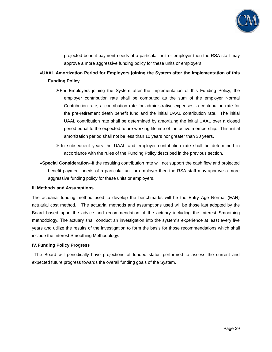

projected benefit payment needs of a particular unit or employer then the RSA staff may approve a more aggressive funding policy for these units or employers.

# **UAAL Amortization Period for Employers joining the System after the Implementation of this Funding Policy**

- $\triangleright$  For Employers joining the System after the implementation of this Funding Policy, the employer contribution rate shall be computed as the sum of the employer Normal Contribution rate, a contribution rate for administrative expenses, a contribution rate for the pre-retirement death benefit fund and the initial UAAL contribution rate. The initial UAAL contribution rate shall be determined by amortizing the initial UAAL over a closed period equal to the expected future working lifetime of the active membership. This initial amortization period shall not be less than 10 years nor greater than 30 years.
- $\triangleright$  In subsequent years the UAAL and employer contribution rate shall be determined in accordance with the rules of the Funding Policy described in the previous section.
- **Special Consideration**--If the resulting contribution rate will not support the cash flow and projected benefit payment needs of a particular unit or employer then the RSA staff may approve a more aggressive funding policy for these units or employers.

#### **III. Methods and Assumptions**

The actuarial funding method used to develop the benchmarks will be the Entry Age Normal (EAN) actuarial cost method. The actuarial methods and assumptions used will be those last adopted by the Board based upon the advice and recommendation of the actuary including the Interest Smoothing methodology. The actuary shall conduct an investigation into the system's experience at least every five years and utilize the results of the investigation to form the basis for those recommendations which shall include the Interest Smoothing Methodology.

#### **IV. Funding Policy Progress**

 The Board will periodically have projections of funded status performed to assess the current and expected future progress towards the overall funding goals of the System.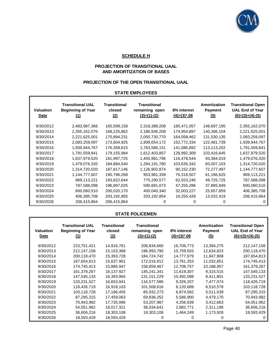

# **SCHEDULE H**

# **PROJECTION OF TRANSITIONAL UAAL AND AMORTIZATION OF BASES**

# **PROJECTION OF THE OPEN TRANSITIONAL UAAL**

# **STATE EMPLOYEES**

| <b>Valuation</b><br>Date | <b>Transitional UAL</b><br><b>Beginning of Year</b><br>(1) | <b>Transitional</b><br>closed<br>(2) | <b>Transitional</b><br>remaining open<br>$(3)=(1)-(2)$ | 8% interest<br>$(4)=(3)^*$ .08 | <b>Amortization</b><br><b>Payment</b><br>(5) | <b>Transitional Open</b><br><b>UAL End of Year</b><br>$(6)=(3)+(4)-(5)$ |
|--------------------------|------------------------------------------------------------|--------------------------------------|--------------------------------------------------------|--------------------------------|----------------------------------------------|-------------------------------------------------------------------------|
| 9/30/2012                | 2,483,987,366                                              | 165,599,158                          | 2,318,388,208                                          | 185,471,057                    | 148,697,195                                  | 2,355,162,070                                                           |
| 9/30/2013                | 2,355,162,070                                              | 168,225,862                          | 2,186,936,208                                          | 174,954,897                    | 140,266,104                                  | 2,221,625,001                                                           |
| 9/30/2014                | 2,221,625,001                                              | 170,894,231                          | 2,050,730,770                                          | 164,058,462                    | 131,530,135                                  | 2,083,259,097                                                           |
| 9/30/2015                | 2,083,259,097                                              | 173,604,925                          | 1,909,654,172                                          | 152,772,334                    | 122,481,739                                  | 1,939,944,767                                                           |
| 9/30/2016                | 1,939,944,767                                              | 176,358,615                          | 1,763,586,151                                          | 141,086,892                    | 113,113,202                                  | 1,791,559,841                                                           |
| 9/30/2017                | 1,791,559,841                                              | 179,155,984                          | 1,612,403,857                                          | 128,992,309                    | 103,416,645                                  | 1,637,979,520                                                           |
| 9/30/2018                | 1,637,979,520                                              | 181,997,725                          | 1,455,981,796                                          | 116,478,544                    | 93,384,019                                   | 1,479,076,320                                                           |
| 9/30/2019                | 1,479,076,320                                              | 184,884,540                          | 1,294,191,780                                          | 103,535,342                    | 83,007,103                                   | 1,314,720,020                                                           |
| 9/30/2020                | 1,314,720,020                                              | 187,817,146                          | 1,126,902,874                                          | 90,152,230                     | 72,277,497                                   | 1,144,777,607                                                           |
| 9/30/2021                | 1,144,777,607                                              | 190,796,268                          | 953,981,339                                            | 76,318,507                     | 61,186,625                                   | 969,113,221                                                             |
| 9/30/2022                | 969,113,221                                                | 193,822,644                          | 775,290,577                                            | 62,023,246                     | 49,725,725                                   | 787,588,098                                                             |
| 9/30/2023                | 787,588,098                                                | 196,897,025                          | 590,691,073                                            | 47,255,286                     | 37,885,849                                   | 600,060,510                                                             |
| 9/30/2024                | 600,060,510                                                | 200,020,170                          | 400,040,340                                            | 32,003,227                     | 25,657,859                                   | 406,385,708                                                             |
| 9/30/2025                | 406,385,708                                                | 203,192,855                          | 203,192,854                                            | 16,255,428                     | 13,032,419                                   | 206,415,864                                                             |
| 9/30/2026                | 206,415,864                                                | 206,415,864                          | O)                                                     |                                |                                              |                                                                         |

#### **STATE POLICEMEN**

| <b>Valuation</b><br>Date | <b>Transitional UAL</b><br><b>Beginning of Year</b><br>(1) | Transitional<br>closed<br>(2) | <b>Transitional</b><br>remaining open<br>$(3)=(1)-(2)$ | 8% interest<br>$(4)=(3)^*$ .08 | <b>Amortization</b><br><b>Payment</b><br>(5) | <b>Transitional Open</b><br><b>UAL End of Year</b><br>$(6)=(3)+(4)-(5)$ |
|--------------------------|------------------------------------------------------------|-------------------------------|--------------------------------------------------------|--------------------------------|----------------------------------------------|-------------------------------------------------------------------------|
| 9/30/2012                | 223,751,421                                                | 14,916,761                    | 208,834,660                                            | 16,706,773                     | 13,394,275                                   | 212, 147, 158                                                           |
| 9/30/2013                | 212,147,158                                                | 15,153,368                    | 196,993,790                                            | 15,759,503                     | 12,634,823                                   | 200,118,470                                                             |
| 9/30/2014                | 200,118,470                                                | 15,393,728                    | 184,724,742                                            | 14,777,979                     | 11,847,908                                   | 187,654,813                                                             |
| 9/30/2015                | 187,654,813                                                | 15,637,901                    | 172,016,912                                            | 13,761,353                     | 11,032,851                                   | 174,745,413                                                             |
| 9/30/2016                | 174,745,413                                                | 15,885,947                    | 158,859,467                                            | 12,708,757                     | 10,188,957                                   | 161,379,267                                                             |
| 9/30/2017                | 161,379,267                                                | 16,137,927                    | 145,241,341                                            | 11,619,307                     | 9,315,515                                    | 147,545,133                                                             |
| 9/30/2018                | 147,545,133                                                | 16,393,904                    | 131,151,229                                            | 10,492,098                     | 8,411,801                                    | 133,231,527                                                             |
| 9/30/2019                | 133,231,527                                                | 16,653,941                    | 116,577,586                                            | 9,326,207                      | 7,477,074                                    | 118,426,719                                                             |
| 9/30/2020                | 118,426,719                                                | 16,918,103                    | 101,508,616                                            | 8,120,689                      | 6,510,578                                    | 103,118,728                                                             |
| 9/30/2021                | 103,118,728                                                | 17,186,455                    | 85,932,273                                             | 6,874,582                      | 5,511,539                                    | 87,295,315                                                              |
| 9/30/2022                | 87,295,315                                                 | 17,459,063                    | 69,836,252                                             | 5,586,900                      | 4,479,170                                    | 70,943,982                                                              |
| 9/30/2023                | 70,943,982                                                 | 17,735,996                    | 53,207,987                                             | 4,256,639                      | 3,412,663                                    | 54,051,962                                                              |
| 9/30/2024                | 54,051,962                                                 | 18,017,321                    | 36,034,641                                             | 2,882,771                      | 2,311,196                                    | 36,606,216                                                              |
| 9/30/2025                | 36,606,216                                                 | 18,303,108                    | 18,303,108                                             | 1,464,249                      | 1,173,928                                    | 18,593,429                                                              |
| 9/30/2026                | 18,593,429                                                 | 18,593,429                    | 0                                                      | Ω                              | 0                                            | 0                                                                       |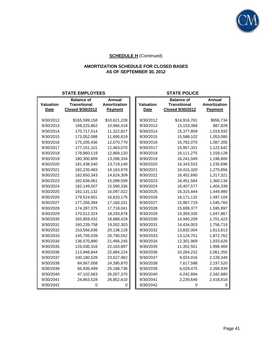

# **AMORTIZATION SCHEDULE FOR CLOSED BASES AS OF SEPTEMBER 30, 2012**

#### **STATE EMPLOYEES STATE POLICE**

|                  | <b>Balance of</b>   | Annual              |                  | <b>Balance of</b>   | Annual         |
|------------------|---------------------|---------------------|------------------|---------------------|----------------|
| <b>Valuation</b> | <b>Transitional</b> | <b>Amortization</b> | <b>Valuation</b> | <b>Transitional</b> | Amortization   |
| <b>Date</b>      | Closed 9/30/2012    | <b>Payment</b>      | <b>Date</b>      | Closed 9/30/2012    | <b>Payment</b> |
|                  |                     |                     |                  |                     |                |
| 9/30/2012        | \$165,599,158       | \$10,621,228        | 9/30/2012        | \$14,916,761        | \$956,734      |
| 9/30/2013        | 168,225,862         | 10,966,418          | 9/30/2013        | 15,153,368          | 987,828        |
| 9/30/2014        | 170,717,514         | 11,322,827          | 9/30/2014        | 15,377,809          | 1,019,932      |
| 9/30/2015        | 173,052,088         | 11,690,819          | 9/30/2015        | 15,588,102          | 1,053,080      |
| 9/30/2016        | 175,205,436         | 12,070,770          | 9/30/2016        | 15,782,070          | 1,087,305      |
| 9/30/2017        | 177,151,101         | 12,463,070          | 9/30/2017        | 15,957,331          | 1,122,642      |
| 9/30/2018        | 178,860,119         | 12,868,120          | 9/30/2018        | 16,111,275          | 1,159,128      |
| 9/30/2019        | 180,300,809         | 13,286,334          | 9/30/2019        | 16,241,049          | 1,196,800      |
| 9/30/2020        | 181,438,540         | 13,718,140          | 9/30/2020        | 16,343,533          | 1,235,696      |
| 9/30/2021        | 182,235,483         | 14,163,979          | 9/30/2021        | 16,415,320          | 1,275,856      |
| 9/30/2022        | 182,650,343         | 14,624,309          | 9/30/2022        | 16,452,690          | 1,317,321      |
| 9/30/2023        | 182,638,061         | 15,099,599          | 9/30/2023        | 16,451,584          | 1,360,134      |
| 9/30/2024        | 182,149,507         | 15,590,336          | 9/30/2024        | 16,407,577          | 1,404,339      |
| 9/30/2025        | 181, 131, 132       | 16,097,022          | 9/30/2025        | 16,315,844          | 1,449,980      |
| 9/30/2026        | 179,524,601         | 16,620,175          | 9/30/2026        | 16,171,132          | 1,497,104      |
| 9/30/2027        | 177,266,394         | 17,160,331          | 9/30/2027        | 15,967,719          | 1,545,760      |
| 9/30/2028        | 174,287,375         | 17,718,041          | 9/30/2028        | 15,699,377          | 1,595,997      |
| 9/30/2029        | 170,512,324         | 18,293,878          | 9/30/2029        | 15,359,330          | 1,647,867      |
| 9/30/2030        | 165,859,432         | 18,888,429          | 9/30/2030        | 14,940,209          | 1,701,423      |
| 9/30/2031        | 160,239,758         | 19,502,303          | 9/30/2031        | 14,434,003          | 1,756,719      |
| 9/30/2032        | 153,556,636         | 20,136,128          | 9/30/2032        | 13,832,004          | 1,813,813      |
| 9/30/2033        | 145,705,039         | 20,790,552          | 9/30/2033        | 13,124,751          | 1,872,762      |
| 9/30/2034        | 136,570,890         | 21,466,245          | 9/30/2034        | 12,301,969          | 1,933,626      |
| 9/30/2035        | 126,030,316         | 22,163,897          | 9/30/2035        | 11,352,501          | 1,996,469      |
| 9/30/2036        | 113,948,844         | 22,884,224          | 9/30/2036        | 10,264,232          | 2,061,355      |
| 9/30/2037        | 100,180,528         | 23,627,962          | 9/30/2037        | 9,024,016           | 2,128,349      |
| 9/30/2038        | 84,567,008          | 24,395,870          | 9/30/2038        | 7,617,588           | 2,197,520      |
| 9/30/2039        | 66,936,499          | 25,188,736          | 9/30/2039        | 6,029,475           | 2,268,939      |
| 9/30/2040        | 47,102,683          | 26,007,370          | 9/30/2040        | 4,242,894           | 2,342,680      |
| 9/30/2041        | 24,863,528          | 26,852,610          | 9/30/2041        | 2,239,646           | 2,418,818      |
| 9/30/2042        | O                   | 0                   | 9/30/2042        | 0                   | 0              |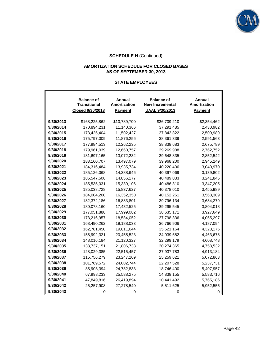

# **AMORTIZATION SCHEDULE FOR CLOSED BASES AS OF SEPTEMBER 30, 2013**

#### **STATE EMPLOYEES**

|           | <b>Balance of</b><br><b>Transitional</b><br><b>Closed 9/30/2013</b> | Annual<br><b>Amortization</b><br><b>Payment</b> | <b>Balance of</b><br><b>New Incremental</b><br><b>UAAL 9/30/2013</b> | Annual<br>Amortization<br><b>Payment</b> |
|-----------|---------------------------------------------------------------------|-------------------------------------------------|----------------------------------------------------------------------|------------------------------------------|
| 9/30/2013 | \$168,225,862                                                       | \$10,789,700                                    | \$36,709,210                                                         | \$2,354,462                              |
| 9/30/2014 | 170,894,231                                                         | 11,140,366                                      | 37,291,485                                                           | 2,430,982                                |
| 9/30/2015 | 173,425,404                                                         | 11,502,427                                      | 37,843,822                                                           | 2,509,989                                |
| 9/30/2016 | 175,797,009                                                         | 11,876,256                                      | 38,361,339                                                           | 2,591,563                                |
| 9/30/2017 | 177,984,513                                                         | 12,262,235                                      | 38,838,683                                                           | 2,675,789                                |
| 9/30/2018 | 179,961,039                                                         | 12,660,757                                      | 39,269,988                                                           | 2,762,752                                |
| 9/30/2019 | 181,697,165                                                         | 13,072,232                                      | 39,648,835                                                           | 2,852,542                                |
| 9/30/2020 | 183,160,707                                                         | 13,497,079                                      | 39,968,200                                                           | 2,945,249                                |
| 9/30/2021 | 184,316,484                                                         | 13,935,734                                      | 40,220,406                                                           | 3,040,970                                |
| 9/30/2022 | 185,126,068                                                         | 14,388,646                                      | 40,397,069                                                           | 3,139,802                                |
| 9/30/2023 | 185,547,508                                                         | 14,856,277                                      | 40,489,033                                                           | 3,241,845                                |
| 9/30/2024 | 185,535,031                                                         | 15,339,106                                      | 40,486,310                                                           | 3,347,205                                |
| 9/30/2025 | 185,038,728                                                         | 15,837,627                                      | 40,378,010                                                           | 3,455,989                                |
| 9/30/2026 | 184,004,200                                                         | 16,352,350                                      | 40,152,261                                                           | 3,568,309                                |
| 9/30/2027 | 182,372,186                                                         | 16,883,801                                      | 39,796,134                                                           | 3,684,279                                |
| 9/30/2028 | 180,078,160                                                         | 17,432,525                                      | 39,295,545                                                           | 3,804,018                                |
| 9/30/2029 | 177,051,888                                                         | 17,999,082                                      | 38,635,171                                                           | 3,927,649                                |
| 9/30/2030 | 173,216,957                                                         | 18,584,052                                      | 37,798,336                                                           | 4,055,297                                |
| 9/30/2031 | 168,490,262                                                         | 19,188,033                                      | 36,766,906                                                           | 4,187,094                                |
| 9/30/2032 | 162,781,450                                                         | 19,811,644                                      | 35,521,164                                                           | 4,323,175                                |
| 9/30/2033 | 155,992,321                                                         | 20,455,523                                      | 34,039,682                                                           | 4,463,678                                |
| 9/30/2034 | 148,016,184                                                         | 21,120,327                                      | 32,299,179                                                           | 4,608,748                                |
| 9/30/2035 | 138,737,151                                                         | 21,806,738                                      | 30,274,365                                                           | 4,758,532                                |
| 9/30/2036 | 128,029,385                                                         | 22,515,457                                      | 27,937,783                                                           | 4,913,184                                |
| 9/30/2037 | 115,756,279                                                         | 23,247,209                                      | 25,259,621                                                           | 5,072,863                                |
| 9/30/2038 | 101,769,572                                                         | 24,002,744                                      | 22,207,528                                                           | 5,237,731                                |
| 9/30/2039 | 85,908,394                                                          | 24,782,833                                      | 18,746,400                                                           | 5,407,957                                |
| 9/30/2040 | 67,998,233                                                          | 25,588,275                                      | 14,838,155                                                           | 5,583,716                                |
| 9/30/2041 | 47,849,816                                                          | 26,419,894                                      | 10,441,492                                                           | 5,765,186                                |
| 9/30/2042 | 25,257,908                                                          | 27,278,540                                      | 5,511,625                                                            | 5,952,555                                |
| 9/30/2043 | o                                                                   | O                                               | 0                                                                    |                                          |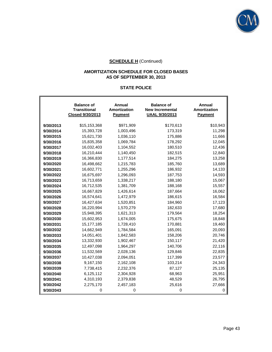

# **AMORTIZATION SCHEDULE FOR CLOSED BASES AS OF SEPTEMBER 30, 2013**

# **STATE POLICE**

|           | <b>Balance of</b><br><b>Transitional</b><br><b>Closed 9/30/2013</b> | <b>Annual</b><br>Amortization<br><b>Payment</b> | <b>Balance of</b><br><b>New Incremental</b><br><b>UAAL 9/30/2013</b> | <b>Annual</b><br><b>Amortization</b><br><b>Payment</b> |
|-----------|---------------------------------------------------------------------|-------------------------------------------------|----------------------------------------------------------------------|--------------------------------------------------------|
| 9/30/2013 | \$15,153,368                                                        | \$971,909                                       | \$170,613                                                            | \$10,943                                               |
| 9/30/2014 | 15,393,728                                                          | 1,003,496                                       | 173,319                                                              | 11,298                                                 |
| 9/30/2015 | 15,621,730                                                          | 1,036,110                                       | 175,886                                                              | 11,666                                                 |
| 9/30/2016 | 15,835,358                                                          | 1,069,784                                       | 178,292                                                              | 12,045                                                 |
| 9/30/2017 | 16,032,403                                                          | 1,104,552                                       | 180,510                                                              | 12,436                                                 |
| 9/30/2018 | 16,210,444                                                          | 1,140,450                                       | 182,515                                                              | 12,840                                                 |
| 9/30/2019 | 16,366,830                                                          | 1,177,514                                       | 184,275                                                              | 13,258                                                 |
| 9/30/2020 | 16,498,662                                                          | 1,215,783                                       | 185,760                                                              | 13,689                                                 |
| 9/30/2021 | 16,602,771                                                          | 1,255,296                                       | 186,932                                                              | 14,133                                                 |
| 9/30/2022 | 16,675,697                                                          | 1,296,093                                       | 187,753                                                              | 14,593                                                 |
| 9/30/2023 | 16,713,659                                                          | 1,338,217                                       | 188,180                                                              | 15,067                                                 |
| 9/30/2024 | 16,712,535                                                          | 1,381,709                                       | 188,168                                                              | 15,557                                                 |
| 9/30/2025 | 16,667,829                                                          | 1,426,614                                       | 187,664                                                              | 16,062                                                 |
| 9/30/2026 | 16,574,641                                                          | 1,472,979                                       | 186,615                                                              | 16,584                                                 |
| 9/30/2027 | 16,427,634                                                          | 1,520,851                                       | 184,960                                                              | 17,123                                                 |
| 9/30/2028 | 16,220,994                                                          | 1,570,279                                       | 182,633                                                              | 17,680                                                 |
| 9/30/2029 | 15,948,395                                                          | 1,621,313                                       | 179,564                                                              | 18,254                                                 |
| 9/30/2030 | 15,602,953                                                          | 1,674,005                                       | 175,675                                                              | 18,848                                                 |
| 9/30/2031 | 15,177,185                                                          | 1,728,410                                       | 170,881                                                              | 19,460                                                 |
| 9/30/2032 | 14,662,949                                                          | 1,784,584                                       | 165,091                                                              | 20,093                                                 |
| 9/30/2033 | 14,051,401                                                          | 1,842,583                                       | 158,206                                                              | 20,746                                                 |
| 9/30/2034 | 13,332,930                                                          | 1,902,467                                       | 150,117                                                              | 21,420                                                 |
| 9/30/2035 | 12,497,098                                                          | 1,964,297                                       | 140,706                                                              | 22,116                                                 |
| 9/30/2036 | 11,532,569                                                          | 2,028,136                                       | 129,846                                                              | 22,835                                                 |
| 9/30/2037 | 10,427,038                                                          | 2,094,051                                       | 117,399                                                              | 23,577                                                 |
| 9/30/2038 | 9,167,150                                                           | 2,162,108                                       | 103,214                                                              | 24,343                                                 |
| 9/30/2039 | 7,738,415                                                           | 2,232,376                                       | 87,127                                                               | 25,135                                                 |
| 9/30/2040 | 6,125,112                                                           | 2,304,928                                       | 68,963                                                               | 25,951                                                 |
| 9/30/2041 | 4,310,193                                                           | 2,379,838                                       | 48,529                                                               | 26,795                                                 |
| 9/30/2042 | 2,275,170                                                           | 2,457,183                                       | 25,616                                                               | 27,666                                                 |
| 9/30/2043 | 0                                                                   | 0                                               | 0                                                                    | 0                                                      |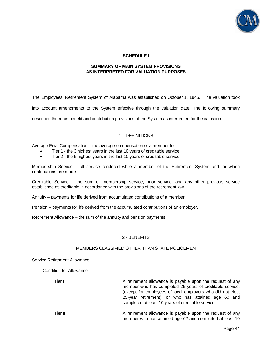

# **SCHEDULE I**

#### **SUMMARY OF MAIN SYSTEM PROVISIONS AS INTERPRETED FOR VALUATION PURPOSES**

The Employees' Retirement System of Alabama was established on October 1, 1945. The valuation took into account amendments to the System effective through the valuation date. The following summary describes the main benefit and contribution provisions of the System as interpreted for the valuation.

# 1 – DEFINITIONS

Average Final Compensation – the average compensation of a member for:

- Tier 1 the 3 highest years in the last 10 years of creditable service
- Tier 2 the 5 highest years in the last 10 years of creditable service

Membership Service – all service rendered while a member of the Retirement System and for which contributions are made.

Creditable Service – the sum of membership service, prior service, and any other previous service established as creditable in accordance with the provisions of the retirement law.

Annuity – payments for life derived from accumulated contributions of a member.

Pension – payments for life derived from the accumulated contributions of an employer.

Retirement Allowance – the sum of the annuity and pension payments.

# 2 - BENEFITS

#### MEMBERS CLASSIFIED OTHER THAN STATE POLICEMEN

#### Service Retirement Allowance

Condition for Allowance

Tier I **Tier I** A retirement allowance is payable upon the request of any member who has completed 25 years of creditable service, (except for employees of local employers who did not elect 25-year retirement), or who has attained age 60 and completed at least 10 years of creditable service.

Tier II **A** retirement allowance is payable upon the request of any member who has attained age 62 and completed at least 10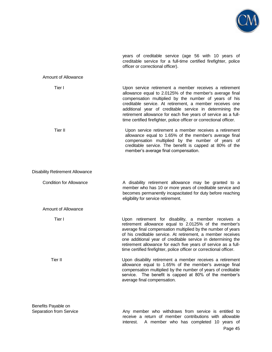

years of creditable service (age 56 with 10 years of creditable service for a full-time certified firefighter, police officer or correctional officer).

#### Amount of Allowance

| Tier I                                 | Upon service retirement a member receives a retirement<br>allowance equal to 2.0125% of the member's average final<br>compensation multiplied by the number of years of his<br>creditable service. At retirement, a member receives one<br>additional year of creditable service in determining the<br>retirement allowance for each five years of service as a full-<br>time certified firefighter, police officer or correctional officer.         |
|----------------------------------------|------------------------------------------------------------------------------------------------------------------------------------------------------------------------------------------------------------------------------------------------------------------------------------------------------------------------------------------------------------------------------------------------------------------------------------------------------|
| Tier II                                | Upon service retirement a member receives a retirement<br>allowance equal to 1.65% of the member's average final<br>compensation multiplied by the number of years of<br>creditable service. The benefit is capped at 80% of the<br>member's average final compensation.                                                                                                                                                                             |
| <b>Disability Retirement Allowance</b> |                                                                                                                                                                                                                                                                                                                                                                                                                                                      |
| <b>Condition for Allowance</b>         | A disability retirement allowance may be granted to a<br>member who has 10 or more years of creditable service and<br>becomes permanently incapacitated for duty before reaching<br>eligibility for service retirement.                                                                                                                                                                                                                              |
| Amount of Allowance                    |                                                                                                                                                                                                                                                                                                                                                                                                                                                      |
| Tier I                                 | Upon retirement for disability, a member receives a<br>retirement allowance equal to 2.0125% of the member's<br>average final compensation multiplied by the number of years<br>of his creditable service. At retirement, a member receives<br>one additional year of creditable service in determining the<br>retirement allowance for each five years of service as a full-<br>time certified firefighter, police officer or correctional officer. |
| Tier II                                | Upon disability retirement a member receives a retirement<br>allowance equal to 1.65% of the member's average final<br>compensation multiplied by the number of years of creditable<br>service. The benefit is capped at 80% of the member's<br>average final compensation.                                                                                                                                                                          |
| Benefits Payable on                    |                                                                                                                                                                                                                                                                                                                                                                                                                                                      |
|                                        | and the state of the state of the                                                                                                                                                                                                                                                                                                                                                                                                                    |

Page 45 Separation from Service **Any member** who withdraws from service is entitled to receive a return of member contributions with allowable interest. A member who has completed 10 years of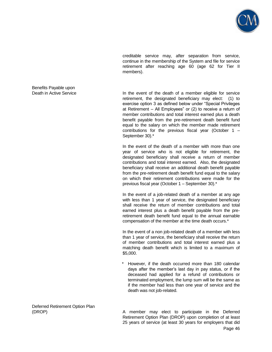

creditable service may, after separation from service, continue in the membership of the System and file for service retirement after reaching age 60 (age 62 for Tier II members).

Death in Active Service **In the event of the death of a member eligible for service** retirement, the designated beneficiary may elect: (1) to exercise option 3 as defined below under "Special Privileges at Retirement – All Employees" or (2) to receive a return of member contributions and total interest earned plus a death benefit payable from the pre-retirement death benefit fund equal to the salary on which the member made retirement contributions for the previous fiscal year (October 1 – September 30).\*

> In the event of the death of a member with more than one year of service who is not eligible for retirement, the designated beneficiary shall receive a return of member contributions and total interest earned. Also, the designated beneficiary shall receive an additional death benefit payable from the pre-retirement death benefit fund equal to the salary on which their retirement contributions were made for the previous fiscal year (October 1 – September 30).\*

> In the event of a job-related death of a member at any age with less than 1 year of service, the designated beneficiary shall receive the return of member contributions and total earned interest plus a death benefit payable from the preretirement death benefit fund equal to the annual earnable compensation of the member at the time death occurs.\*

> In the event of a non job-related death of a member with less than 1 year of service, the beneficiary shall receive the return of member contributions and total interest earned plus a matching death benefit which is limited to a maximum of \$5,000.

> However, if the death occurred more than 180 calendar days after the member's last day in pay status, or if the deceased had applied for a refund of contributions or terminated employment, the lump sum will be the same as if the member had less than one year of service and the death was not job-related.

Deferred Retirement Option Plan

Page 46 (DROP) A member may elect to participate in the Deferred Retirement Option Plan (DROP) upon completion of at least 25 years of service (at least 30 years for employers that did

Benefits Payable upon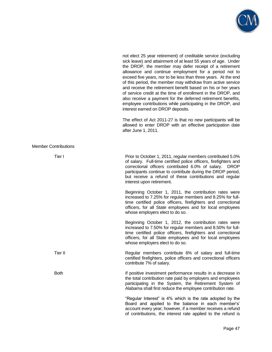

|                             | sick leave) and attainment of at least 55 years of age. Under<br>the DROP, the member may defer receipt of a retirement<br>allowance and continue employment for a period not to<br>exceed five years, nor to be less than three years. At the end<br>of this period, the member may withdraw from active service<br>and receive the retirement benefit based on his or her years<br>of service credit at the time of enrollment in the DROP, and<br>also receive a payment for the deferred retirement benefits,<br>employee contributions while participating in the DROP, and<br>interest earned on DROP deposits. |
|-----------------------------|-----------------------------------------------------------------------------------------------------------------------------------------------------------------------------------------------------------------------------------------------------------------------------------------------------------------------------------------------------------------------------------------------------------------------------------------------------------------------------------------------------------------------------------------------------------------------------------------------------------------------|
|                             | The effect of Act 2011-27 is that no new participants will be<br>allowed to enter DROP with an effective participation date<br>after June 1, 2011.                                                                                                                                                                                                                                                                                                                                                                                                                                                                    |
| <b>Member Contributions</b> |                                                                                                                                                                                                                                                                                                                                                                                                                                                                                                                                                                                                                       |
| Tier I                      | Prior to October 1, 2011, regular members contributed 5.0%<br>of salary. Full-time certified police officers, firefighters and<br>correctional officers contributed 6.0% of salary. DROP<br>participants continue to contribute during the DROP period,<br>but receive a refund of these contributions and regular<br>interest upon retirement.                                                                                                                                                                                                                                                                       |
|                             | Beginning October 1, 2011, the contribution rates were<br>increased to 7.25% for regular members and 8.25% for full-<br>time certified police officers, firefighters and correctional<br>officers, for all State employees and for local employees<br>whose employers elect to do so.                                                                                                                                                                                                                                                                                                                                 |
|                             | Beginning October 1, 2012, the contribution rates were<br>increased to 7.50% for regular members and 8.50% for full-<br>time certified police officers, firefighters and correctional<br>officers, for all State employees and for local employees<br>whose employers elect to do so.                                                                                                                                                                                                                                                                                                                                 |
| Tier II                     | Regular members contribute 6% of salary and full-time<br>certified firefighters, police officers and correctional officers<br>contribute 7% of salary.                                                                                                                                                                                                                                                                                                                                                                                                                                                                |
| <b>Both</b>                 | If positive investment performance results in a decrease in<br>the total contribution rate paid by employers and employees<br>participating in the System, the Retirement System of<br>Alabama shall first reduce the employee contribution rate.                                                                                                                                                                                                                                                                                                                                                                     |
|                             | "Regular Interest" is 4% which is the rate adopted by the<br>Board and applied to the balance in each member's'<br>account every year; however, if a member receives a refund<br>of contributions, the interest rate applied to the refund is                                                                                                                                                                                                                                                                                                                                                                         |

not elect 25 year retirement) of creditable service (excluding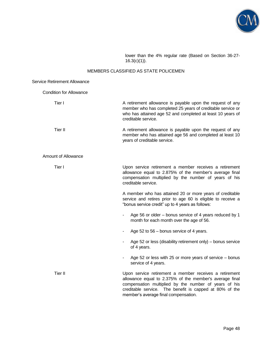

lower than the 4% regular rate (Based on Section 36-27- 16.3(c)(1)).

# MEMBERS CLASSIFIED AS STATE POLICEMEN

| <b>Service Retirement Allowance</b> |                                                                                                                                                                                                                                                                               |
|-------------------------------------|-------------------------------------------------------------------------------------------------------------------------------------------------------------------------------------------------------------------------------------------------------------------------------|
| <b>Condition for Allowance</b>      |                                                                                                                                                                                                                                                                               |
| Tier I                              | A retirement allowance is payable upon the request of any<br>member who has completed 25 years of creditable service or<br>who has attained age 52 and completed at least 10 years of<br>creditable service.                                                                  |
| Tier II                             | A retirement allowance is payable upon the request of any<br>member who has attained age 56 and completed at least 10<br>years of creditable service.                                                                                                                         |
| <b>Amount of Allowance</b>          |                                                                                                                                                                                                                                                                               |
| Tier I                              | Upon service retirement a member receives a retirement<br>allowance equal to 2.875% of the member's average final<br>compensation multiplied by the number of years of his<br>creditable service.                                                                             |
|                                     | A member who has attained 20 or more years of creditable<br>service and retires prior to age 60 is eligible to receive a<br>"bonus service credit" up to 4 years as follows:                                                                                                  |
|                                     | Age 56 or older – bonus service of 4 years reduced by 1<br>month for each month over the age of 56.                                                                                                                                                                           |
|                                     | Age 52 to 56 - bonus service of 4 years.                                                                                                                                                                                                                                      |
|                                     | Age 52 or less (disability retirement only) – bonus service<br>of 4 years.                                                                                                                                                                                                    |
|                                     | Age 52 or less with 25 or more years of service – bonus<br>service of 4 years.                                                                                                                                                                                                |
| Tier II                             | Upon service retirement a member receives a retirement<br>allowance equal to 2.375% of the member's average final<br>compensation multiplied by the number of years of his<br>creditable service. The benefit is capped at 80% of the<br>member's average final compensation. |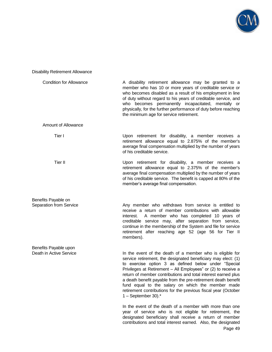

# Disability Retirement Allowance

| <b>Condition for Allowance</b> | A disability retirement allowance may be granted to a<br>member who has 10 or more years of creditable service or<br>who becomes disabled as a result of his employment in line<br>of duty without regard to his years of creditable service, and<br>who becomes permanently incapacitated, mentally or<br>physically, for the further performance of duty before reaching<br>the minimum age for service retirement.                                                                                                                 |
|--------------------------------|---------------------------------------------------------------------------------------------------------------------------------------------------------------------------------------------------------------------------------------------------------------------------------------------------------------------------------------------------------------------------------------------------------------------------------------------------------------------------------------------------------------------------------------|
| <b>Amount of Allowance</b>     |                                                                                                                                                                                                                                                                                                                                                                                                                                                                                                                                       |
| Tier I                         | Upon retirement for disability, a member receives a<br>retirement allowance equal to 2.875% of the member's<br>average final compensation multiplied by the number of years<br>of his creditable service.                                                                                                                                                                                                                                                                                                                             |
| Tier II                        | Upon retirement for disability, a member receives a<br>retirement allowance equal to 2.375% of the member's<br>average final compensation multiplied by the number of years<br>of his creditable service. The benefit is capped at 80% of the<br>member's average final compensation.                                                                                                                                                                                                                                                 |
| Benefits Payable on            |                                                                                                                                                                                                                                                                                                                                                                                                                                                                                                                                       |
| <b>Separation from Service</b> | Any member who withdraws from service is entitled to<br>receive a return of member contributions with allowable<br>interest. A member who has completed 10 years of<br>creditable service may, after separation from service,<br>continue in the membership of the System and file for service<br>retirement after reaching age 52 (age 56 for Tier II<br>members).                                                                                                                                                                   |
| Benefits Payable upon          |                                                                                                                                                                                                                                                                                                                                                                                                                                                                                                                                       |
| Death in Active Service        | In the event of the death of a member who is eligible for<br>service retirement, the designated beneficiary may elect: (1)<br>to exercise option 3 as defined below under "Special<br>Privileges at Retirement - All Employees" or (2) to receive a<br>return of member contributions and total interest earned plus<br>a death benefit payable from the pre-retirement death benefit<br>fund equal to the salary on which the member made<br>retirement contributions for the previous fiscal year (October<br>$1 - September 30$ .* |
|                                | In the event of the death of a member with more than one<br>year of service who is not eligible for retirement, the<br>designated beneficiary shall receive a return of member<br>contributions and total interest earned. Also, the designated                                                                                                                                                                                                                                                                                       |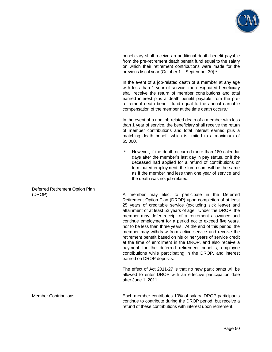

beneficiary shall receive an additional death benefit payable from the pre-retirement death benefit fund equal to the salary on which their retirement contributions were made for the previous fiscal year (October 1 – September 30).\*

 In the event of a job-related death of a member at any age with less than 1 year of service, the designated beneficiary shall receive the return of member contributions and total earned interest plus a death benefit payable from the preretirement death benefit fund equal to the annual earnable compensation of the member at the time death occurs.\*

 In the event of a non job-related death of a member with less than 1 year of service, the beneficiary shall receive the return of member contributions and total interest earned plus a matching death benefit which is limited to a maximum of \$5,000.

However, if the death occurred more than 180 calendar days after the member's last day in pay status, or if the deceased had applied for a refund of contributions or terminated employment, the lump sum will be the same as if the member had less than one year of service and the death was not job-related.

(DROP) A member may elect to participate in the Deferred Retirement Option Plan (DROP) upon completion of at least 25 years of creditable service (excluding sick leave) and attainment of at least 52 years of age. Under the DROP, the member may defer receipt of a retirement allowance and continue employment for a period not to exceed five years, nor to be less than three years. At the end of this period, the member may withdraw from active service and receive the retirement benefit based on his or her years of service credit at the time of enrollment in the DROP, and also receive a payment for the deferred retirement benefits, employee contributions while participating in the DROP, and interest earned on DROP deposits.

> The effect of Act 2011-27 is that no new participants will be allowed to enter DROP with an effective participation date after June 1, 2011.

Member Contributions Each member contributes 10% of salary. DROP participants continue to contribute during the DROP period, but receive a refund of these contributions with interest upon retirement.

Deferred Retirement Option Plan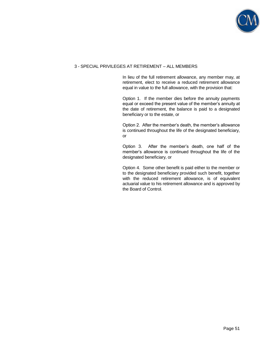

# 3 - SPECIAL PRIVILEGES AT RETIREMENT – ALL MEMBERS

 In lieu of the full retirement allowance, any member may, at retirement, elect to receive a reduced retirement allowance equal in value to the full allowance, with the provision that:

 Option 1. If the member dies before the annuity payments equal or exceed the present value of the member's annuity at the date of retirement, the balance is paid to a designated beneficiary or to the estate, or

 Option 2. After the member's death, the member's allowance is continued throughout the life of the designated beneficiary, or

 Option 3. After the member's death, one half of the member's allowance is continued throughout the life of the designated beneficiary, or

 Option 4. Some other benefit is paid either to the member or to the designated beneficiary provided such benefit, together with the reduced retirement allowance, is of equivalent actuarial value to his retirement allowance and is approved by the Board of Control.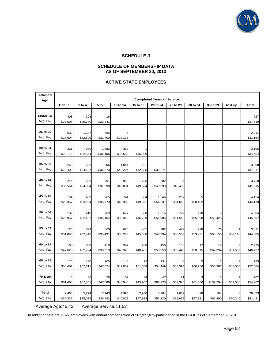

# **SCHEDULE J**

# **SCHEDULE OF MEMBERSHIP DATA AS OF SEPTEMBER 30, 2013**

# **ACTIVE STATE EMPLOYEES**

| <b>Attained</b> |          |          |          |          |          |                                   |          |          |           |          |              |
|-----------------|----------|----------|----------|----------|----------|-----------------------------------|----------|----------|-----------|----------|--------------|
| Age             |          |          |          |          |          | <b>Completed Years of Service</b> |          |          |           |          |              |
|                 | Under 1  | 1 to 4   | 5 to 9   | 10 to 14 | 15 to 19 | 20 to 24                          | 25 to 29 | 30 to 34 | 35 to 39  | 40 & up  | <b>Total</b> |
|                 |          |          |          |          |          |                                   |          |          |           |          |              |
| Under 25        | 408      | 303      | 16       |          |          |                                   |          |          |           |          | 727          |
| Avg. Pay        | \$26,505 | \$29,630 | \$23,841 |          |          |                                   |          |          |           |          | \$27,749     |
| 25 to 29        |          |          |          |          |          |                                   |          |          |           |          |              |
|                 | 533      | 1,187    | 486      | 5        |          |                                   |          |          |           |          | 2,211        |
| Avg. Pay        | \$27,504 | \$32,596 | \$31,700 | \$29,136 |          |                                   |          |          |           |          | \$31,164     |
| 30 to 34        | 321      | 939      | 1,582    | 353      |          |                                   |          |          |           |          | 3,196        |
| Avg. Pay        | \$29,176 | \$32,644 | \$36,106 | \$36,632 | \$45,990 |                                   |          |          |           |          | \$34,454     |
|                 |          |          |          |          |          |                                   |          |          |           |          |              |
| 35 to 39        | 260      | 596      | 1,206    | 1,044    | 191      |                                   |          |          |           |          | 3,298        |
| Avg. Pay        | \$29,403 | \$34,107 | \$36,873 | \$42,204 | \$42,835 | \$35,274                          |          |          |           |          | \$37,817     |
|                 |          |          |          |          |          |                                   |          |          |           |          |              |
| 40 to 44        | 244      | 536      | 991      | 958      | 705      | 282                               |          |          |           |          | 3,720        |
| Avg. Pay        | \$30,564 | \$34,004 | \$37,590 | \$42,884 | \$49,684 | \$49,998                          | \$43,403 |          |           |          | \$41,215     |
|                 |          |          |          |          |          |                                   |          |          |           |          |              |
| 45 to 49        | 194      | 469      | 765      | 744      | 634      | 1,046                             | 267      | 5        |           |          | 4,124        |
| Avg. Pay        | \$28,357 | \$33,154 | \$35,773 | \$40,388 | \$49,871 | \$54,637                          | \$54,615 | \$68,452 |           |          | \$44,170     |
|                 |          |          |          |          |          |                                   |          |          |           |          |              |
| 50 to 54        | 182      | 419      | 769      | 677      | 538      | 1,016                             | 727      | 170      | 6         |          | 4,504        |
| Avg. Pay        | \$29,957 | \$32,487 | \$35,464 | \$39,322 | \$46,790 | \$51,986                          | \$61,512 | \$55,090 | \$56,423  |          | \$45,597     |
| 55 to 59        | 126      | 329      | 660      | 620      | 467      | 782                               | 472      | 278      | 76        |          | 3,811        |
| Avg. Pay        | \$31,896 | \$32,743 | \$35,491 | \$38,296 | \$45,560 | \$49,994                          | \$58,559 | \$59,221 | \$60,155  | \$50,118 | \$44,885     |
|                 |          |          |          |          |          |                                   |          |          |           |          |              |
| 60 to 64        | 168      | 330      | 410      | 397      | 288      | 456                               | 150      | 17       | 17        |          | 2,235        |
| Avg. Pay        | \$47,623 | \$52,734 | \$38,319 | \$40,325 | \$48,481 | \$50,950                          | \$53,443 | \$58,815 | \$62,394  | \$31,507 | \$46,737     |
|                 |          |          |          |          |          |                                   |          |          |           |          |              |
| 65 to 69        | 26       | 130      | 200      | 145      | 92       | 134                               | 48       | 5        |           |          | 785          |
| Avg. Pay        | \$56,407 | \$62,611 | \$47,074 | \$47,059 | \$51,308 | \$54,449                          | \$56,394 | \$66,256 | \$50,387  | \$87,505 | \$52,564     |
|                 |          |          |          |          |          |                                   |          |          |           |          |              |
| 70 & up         | 6        | 36       | 58       | 52       | 34       | 47                                | 21       |          |           |          | 262          |
| Avg. Pay        | \$81,465 | \$67,851 | \$47,886 | \$45,946 | \$45,907 | \$60,178                          | \$57,325 | \$61,366 | \$139,294 | \$53,538 | \$54,962     |
|                 |          |          |          |          |          |                                   |          |          |           |          |              |
| Total           | 2,468    | 5,274    | 7,143    | 4,995    | 2,950    | 3,764                             | 1,689    | 478      | 104       |          | 28,873       |
| Avg. Pay        | \$30,336 | \$35,039 | \$36,482 | \$40,812 | \$47,988 | \$52,220                          | \$58,639 | \$57,921 | \$62,400  | \$60,340 | \$41,421     |

Average Age:45.43 Average Service: 11.52

In addition there are 1,022 employees with annual compensation of \$62,927,875 participating in the DROP as of September 30, 2013.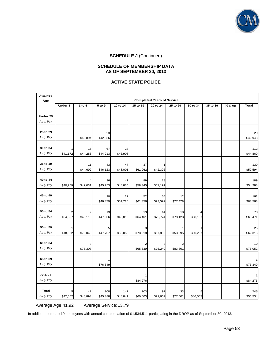

#### **SCHEDULE OF MEMBERSHIP DATA AS OF SEPTEMBER 30, 2013**

# **ACTIVE STATE POLICE**

| <b>Attained</b><br>Age | <b>Completed Years of Service</b> |                |                |                |                |                |                |          |          |         |                 |
|------------------------|-----------------------------------|----------------|----------------|----------------|----------------|----------------|----------------|----------|----------|---------|-----------------|
|                        | Under 1                           | 1 to 4         | 5 to 9         | 10 to 14       | 15 to 19       | 20 to 24       | 25 to 29       | 30 to 34 | 35 to 39 | 40 & up | <b>Total</b>    |
| Under 25               |                                   |                |                |                |                |                |                |          |          |         |                 |
| Avg. Pay               |                                   |                |                |                |                |                |                |          |          |         |                 |
|                        |                                   |                |                |                |                |                |                |          |          |         |                 |
| 25 to 29               |                                   | 6              | 23             |                |                |                |                |          |          |         | 29              |
| Avg. Pay               |                                   | \$42,894       | \$42,956       |                |                |                |                |          |          |         | \$42,943        |
|                        |                                   |                |                |                |                |                |                |          |          |         |                 |
| 30 to 34<br>Avg. Pay   | 1<br>\$41,172                     | 16<br>\$44,283 | 67<br>\$44,213 | 28<br>\$46,908 |                |                |                |          |          |         | 112<br>\$44,869 |
|                        |                                   |                |                |                |                |                |                |          |          |         |                 |
| 35 to 39               |                                   | 11             | 43             | 47             | 37             | 1              |                |          |          |         | 139             |
| Avg. Pay               |                                   | \$44,692       | \$46,123       | \$48,001       | \$61,062       | \$42,396       |                |          |          |         | \$50,594        |
|                        |                                   |                |                |                |                |                |                |          |          |         |                 |
| 40 to 44               | 1                                 | 4              | 36             | 41             | 89             | 18             |                |          |          |         | 189             |
| Avg. Pay               | \$40,759                          | \$42,031       | \$45,753       | \$48,835       | \$58,345       | \$67,191       |                |          |          |         | \$54,288        |
| 45 to 49               |                                   |                |                |                |                |                |                |          |          |         |                 |
| Avg. Pay               |                                   |                | 20<br>\$46,379 | 22<br>\$51,720 | 52<br>\$61,356 | 55<br>\$73,599 | 12<br>\$77,478 |          |          |         | 161<br>\$63,563 |
|                        |                                   |                |                |                |                |                |                |          |          |         |                 |
| 50 to 54               | $\overline{\mathbf{c}}$           |                | 13             | 6              | 19             | 14             | 18             |          |          |         | 78              |
| Avg. Pay               | \$54,857                          | \$48,113       | \$47,506       | \$46,813       | \$64,461       | \$72,774       | \$78,123       | \$88,137 |          |         | \$65,471        |
|                        |                                   |                |                |                |                |                |                |          |          |         |                 |
| 55 to 59               |                                   | 5              | 5              | 3              | 3              | 6              |                |          |          |         | 25              |
| Avg. Pay               | \$18,662                          | \$70,040       | \$47,707       | \$63,058       | \$73,218       | \$67,899       | \$53,995       | \$80,287 |          |         | \$62,316        |
| 60 to 64               |                                   | З              |                |                | 2              |                |                |          |          |         | 10              |
| Avg. Pay               |                                   | \$75,307       |                |                | \$65,639       | \$75,240       | \$83,801       |          |          |         | \$75,052        |
|                        |                                   |                |                |                |                |                |                |          |          |         |                 |
| 65 to 69               |                                   |                |                |                |                |                |                |          |          |         |                 |
| Avg. Pay               |                                   |                | \$76,349       |                |                |                |                |          |          |         | \$76,349        |
|                        |                                   |                |                |                |                |                |                |          |          |         |                 |
| 70 & up                |                                   |                |                |                |                |                |                |          |          |         |                 |
| Avg. Pay               |                                   |                |                |                | \$84,276       |                |                |          |          |         | \$84,276        |
| Total                  | 5                                 | 47             | 208            | 147            | 203            | 97             | 33             | 5        |          |         | 745             |
| Avg. Pay               | \$42,062                          | \$48,893       | \$45,388       | \$48,841       | \$60,603       | \$71,667       | \$77,501       | \$86,567 |          |         | \$55,534        |

Average Age: 41.92 Average Service: 13.79

In addition there are 19 employees with annual compensation of \$1,534,511 participating in the DROP as of September 30, 2013.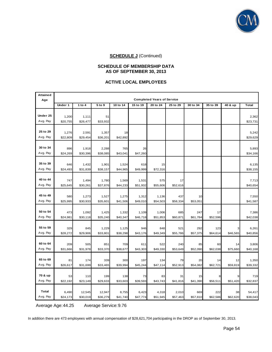

# **SCHEDULE OF MEMBERSHIP DATA AS OF SEPTEMBER 30, 2013**

#### **ACTIVE LOCAL EMPLOYEES**

| Attained<br>Age      | <b>Completed Years of Service</b> |                    |                    |                   |                   |                   |                   |                 |                 |                |                    |
|----------------------|-----------------------------------|--------------------|--------------------|-------------------|-------------------|-------------------|-------------------|-----------------|-----------------|----------------|--------------------|
|                      | Under 1                           | 1 to 4             | 5 to 9             | 10 to 14          | 15 to 19          | 20 to 24          | 25 to 29          | 30 to 34        | 35 to 39        | 40 & up        | <b>Total</b>       |
| Under 25<br>Avg. Pay | 1,200<br>\$20,755                 | 1,111<br>\$26,477  | 51<br>\$33,932     |                   |                   |                   |                   |                 |                 |                | 2,362<br>\$23,731  |
| 25 to 29<br>Avg. Pay | 1,276<br>\$22,809                 | 2,591<br>\$29,454  | 1,357<br>\$36,201  | 18<br>\$42,892    |                   |                   |                   |                 |                 |                | 5,242<br>\$29,629  |
| 30 to 34<br>Avg. Pay | 896<br>\$24,269                   | 1,918<br>\$30,396  | 2,288<br>\$38,085  | 765<br>\$43,041   | 26<br>\$47,260    |                   |                   |                 |                 |                | 5,893<br>\$34,166  |
| 35 to 39<br>Avg. Pay | 646<br>\$24,493                   | 1,432<br>\$31,839  | 1,901<br>\$38,157  | 1,524<br>\$44,965 | 618<br>\$49,999   | 15<br>\$72,316    |                   |                 |                 |                | 6,135<br>\$38,155  |
| 40 to 44<br>Avg. Pay | 747<br>\$25,645                   | 1,494<br>\$30,261  | 1,780<br>\$37,876  | 1,569<br>\$44,233 | 1,531<br>\$51,932 | 575<br>\$55,606   | 17<br>\$52,616    |                 |                 |                | 7,713<br>\$40,654  |
| 45 to 49<br>Avg. Pay | 580<br>\$25,995                   | 1,273<br>\$30,933  | 1,527<br>\$35,601  | 1,275<br>\$41,506 | 1,312<br>\$49,010 | 1,136<br>\$54,503 | 437<br>\$58,334   | 10<br>\$53,051  |                 |                | 7,550<br>\$41,587  |
| 50 to 54<br>Avg. Pay | 473<br>\$24,981                   | 1,092<br>\$30,118  | 1,425<br>\$35,240  | 1,332<br>\$40,347 | 1,109<br>\$46,718 | 1,006<br>\$51,853 | 685<br>\$60,871   | 247<br>\$61,784 | 17<br>\$52,596  |                | 7,386<br>\$42,038  |
| 55 to 59<br>Avg. Pay | 329<br>\$28,272                   | 845<br>\$29,906    | 1,229<br>\$33,801  | 1,125<br>\$38,298 | 946<br>\$43,176   | 848<br>\$49,349   | 521<br>\$55,786   | 292<br>\$57,375 | 123<br>\$64,614 | \$46,565       | 6,261<br>\$40,856  |
| 60 to 64<br>Avg. Pay | 209<br>\$31,666                   | 505<br>\$31,978    | 851<br>\$33,370    | 709<br>\$38,677   | 611<br>\$43,303   | 522<br>\$49,330   | 240<br>\$53,649   | 85<br>\$52,090  | 60<br>\$62,038  | 14<br>\$75,660 | 3,806<br>\$40,168  |
| 65 to 69<br>Avg. Pay | 81<br>\$26,617                    | 174<br>\$31,699    | 339<br>\$33,465    | 300<br>\$39,994   | 197<br>\$45,244   | 134<br>\$47,114   | 79<br>\$52,913    | 20<br>\$54,082  | 14<br>\$62,721  | 12<br>\$59,819 | 1,350<br>\$39,332  |
| 70 & up<br>Avg. Pay  | 53<br>\$22,192                    | 110<br>\$23,149    | 199<br>\$29,633    | 138<br>\$33,603   | 73<br>\$39,593    | 83<br>\$43,743    | 31<br>\$41,816    | 15<br>\$41,390  | \$56,511        | \$51,420       | 719<br>\$32,837    |
| Total<br>Avg. Pay    | 6,490<br>\$24,173                 | 12,545<br>\$30,019 | 12,947<br>\$36,279 | 8,755<br>\$41,740 | 6,423<br>\$47,774 | 4,318<br>\$51,945 | 2,010<br>\$57,463 | 669<br>\$57,810 | 222<br>\$62,586 | 38<br>\$62,620 | 54,417<br>\$38,043 |

Average Age: 44.25 Average Service: 9.76

In addition there are 473 employees with annual compensation of \$28,621,704 participating in the DROP as of September 30, 2013.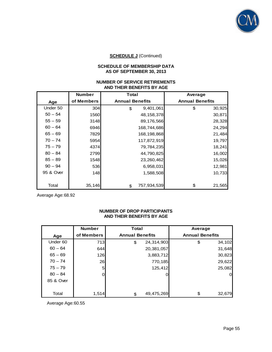

# **SCHEDULE OF MEMBERSHIP DATA AS OF SEPTEMBER 30, 2013**

### **NUMBER OF SERVICE RETIREMENTS AND THEIR BENEFITS BY AGE**

|           | <b>Number</b> | <b>Total</b>           | Average                |
|-----------|---------------|------------------------|------------------------|
| Age       | of Members    | <b>Annual Benefits</b> | <b>Annual Benefits</b> |
| Under 50  | 304           | 9,401,061<br>\$        | \$<br>30,925           |
| $50 - 54$ | 1560          | 48, 158, 378           | 30,871                 |
| $55 - 59$ | 3148          | 89,176,566             | 28,328                 |
| $60 - 64$ | 6946          | 168,744,686            | 24,294                 |
| $65 - 69$ | 7829          | 168,198,868            | 21,484                 |
| $70 - 74$ | 5954          | 117,872,919            | 19,797                 |
| $75 - 79$ | 4374          | 79,784,235             | 18,241                 |
| $80 - 84$ | 2799          | 44,790,825             | 16,002                 |
| $85 - 89$ | 1548          | 23,260,462             | 15,026                 |
| $90 - 94$ | 536           | 6,958,031              | 12,981                 |
| 95 & Over | <b>148</b>    | 1,588,508              | 10,733                 |
|           |               |                        |                        |
| Total     | 35,146        | 757,934,539<br>\$      | \$<br>21,565           |

Average Age: 68.92

# **NUMBER OF DROP PARTICIPANTS AND THEIR BENEFITS BY AGE**

|           | <b>Number</b> | <b>Total</b>           |            | Average                |        |
|-----------|---------------|------------------------|------------|------------------------|--------|
| Age       | of Members    | <b>Annual Benefits</b> |            | <b>Annual Benefits</b> |        |
| Under 60  | 713           | \$                     | 24,314,903 | \$                     | 34,102 |
| $60 - 64$ | 644           |                        | 20,381,057 |                        | 31,648 |
| $65 - 69$ | 126           |                        | 3,883,712  |                        | 30,823 |
| $70 - 74$ | 26            |                        | 770,185    |                        | 29,622 |
| $75 - 79$ | $5 \mid$      |                        | 125,412    |                        | 25,082 |
| $80 - 84$ | 0             |                        |            |                        | 0      |
| 85 & Over |               |                        |            |                        |        |
|           |               |                        |            |                        |        |
| Total     | 1,514         | \$                     | 49,475,269 | \$                     | 32,679 |

Average Age: 60.55